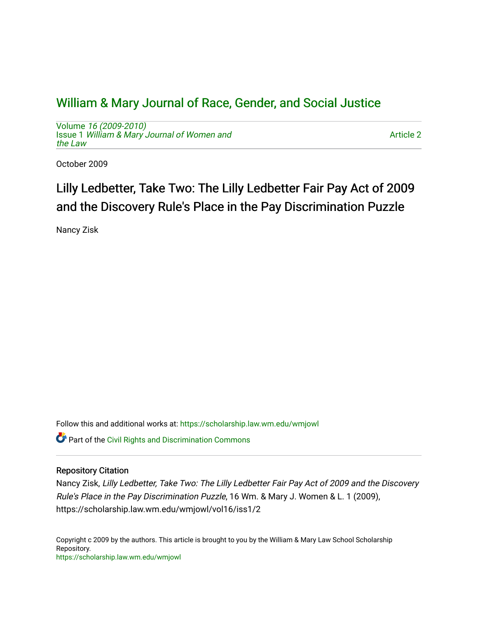## [William & Mary Journal of Race, Gender, and Social Justice](https://scholarship.law.wm.edu/wmjowl)

Volume [16 \(2009-2010\)](https://scholarship.law.wm.edu/wmjowl/vol16)  Issue 1 [William & Mary Journal of Women and](https://scholarship.law.wm.edu/wmjowl/vol16/iss1) [the Law](https://scholarship.law.wm.edu/wmjowl/vol16/iss1)

[Article 2](https://scholarship.law.wm.edu/wmjowl/vol16/iss1/2) 

October 2009

# Lilly Ledbetter, Take Two: The Lilly Ledbetter Fair Pay Act of 2009 and the Discovery Rule's Place in the Pay Discrimination Puzzle

Nancy Zisk

Follow this and additional works at: [https://scholarship.law.wm.edu/wmjowl](https://scholarship.law.wm.edu/wmjowl?utm_source=scholarship.law.wm.edu%2Fwmjowl%2Fvol16%2Fiss1%2F2&utm_medium=PDF&utm_campaign=PDFCoverPages) 

Part of the [Civil Rights and Discrimination Commons](http://network.bepress.com/hgg/discipline/585?utm_source=scholarship.law.wm.edu%2Fwmjowl%2Fvol16%2Fiss1%2F2&utm_medium=PDF&utm_campaign=PDFCoverPages) 

## Repository Citation

Nancy Zisk, Lilly Ledbetter, Take Two: The Lilly Ledbetter Fair Pay Act of 2009 and the Discovery Rule's Place in the Pay Discrimination Puzzle, 16 Wm. & Mary J. Women & L. 1 (2009), https://scholarship.law.wm.edu/wmjowl/vol16/iss1/2

Copyright c 2009 by the authors. This article is brought to you by the William & Mary Law School Scholarship Repository. <https://scholarship.law.wm.edu/wmjowl>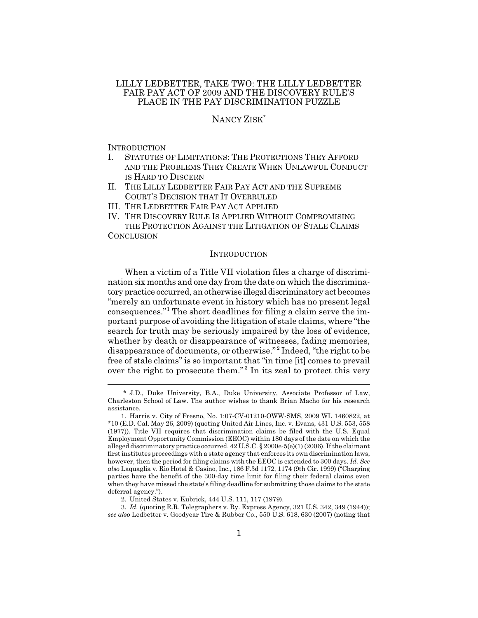### LILLY LEDBETTER, TAKE TWO: THE LILLY LEDBETTER FAIR PAY ACT OF 2009 AND THE DISCOVERY RULE'S PLACE IN THE PAY DISCRIMINATION PUZZLE

## NANCY ZISK\*

**INTRODUCTION** 

- I. STATUTES OF LIMITATIONS: THE PROTECTIONS THEY AFFORD AND THE PROBLEMS THEY CREATE WHEN UNLAWFUL CONDUCT IS HARD TO DISCERN
- II. THE LILLY LEDBETTER FAIR PAY ACT AND THE SUPREME COURT'S DECISION THAT IT OVERRULED
- III. THE LEDBETTER FAIR PAY ACT APPLIED
- IV. THE DISCOVERY RULE IS APPLIED WITHOUT COMPROMISING THE PROTECTION AGAINST THE LITIGATION OF STALE CLAIMS

**CONCLUSION** 

#### **INTRODUCTION**

When a victim of a Title VII violation files a charge of discrimination six months and one day from the date on which the discriminatory practice occurred, an otherwise illegal discriminatory act becomes "merely an unfortunate event in history which has no present legal consequences."<sup>1</sup> The short deadlines for filing a claim serve the important purpose of avoiding the litigation of stale claims, where "the search for truth may be seriously impaired by the loss of evidence, whether by death or disappearance of witnesses, fading memories, disappearance of documents, or otherwise." <sup>2</sup> Indeed, "the right to be free of stale claims" is so important that "in time [it] comes to prevail over the right to prosecute them."<sup>3</sup> In its zeal to protect this very

<sup>\*</sup> J.D., Duke University, B.A., Duke University, Associate Professor of Law, Charleston School of Law. The author wishes to thank Brian Macho for his research assistance.

<sup>1.</sup> Harris v. City of Fresno, No. 1:07-CV-01210-OWW-SMS, 2009 WL 1460822, at \*10 (E.D. Cal. May 26, 2009) (quoting United Air Lines, Inc. v. Evans, 431 U.S. 553, 558 (1977)). Title VII requires that discrimination claims be filed with the U.S. Equal Employment Opportunity Commission (EEOC) within 180 days of the date on which the alleged discriminatory practice occurred. 42 U.S.C. § 2000e-5(e)(1) (2006). If the claimant first institutes proceedings with a state agency that enforces its own discrimination laws, however, then the period for filing claims with the EEOC is extended to 300 days. *Id. See also* Laquaglia v. Rio Hotel & Casino, Inc., 186 F.3d 1172, 1174 (9th Cir. 1999) ("Charging parties have the benefit of the 300-day time limit for filing their federal claims even when they have missed the state's filing deadline for submitting those claims to the state deferral agency.").

<sup>2.</sup> United States v. Kubrick, 444 U.S. 111, 117 (1979).

<sup>3.</sup> *Id.* (quoting R.R. Telegraphers v. Ry. Express Agency, 321 U.S. 342, 349 (1944)); *see also* Ledbetter v. Goodyear Tire & Rubber Co., 550 U.S. 618, 630 (2007) (noting that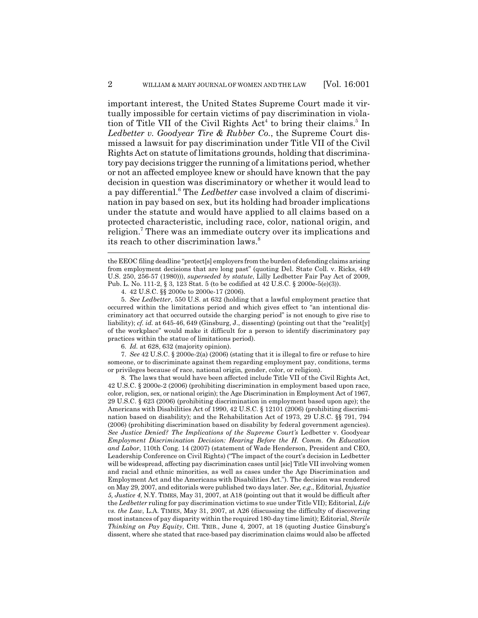important interest, the United States Supreme Court made it virtually impossible for certain victims of pay discrimination in violation of Title VII of the Civil Rights Act<sup>4</sup> to bring their claims.<sup>5</sup> In *Ledbetter v. Goodyear Tire & Rubber Co.*, the Supreme Court dismissed a lawsuit for pay discrimination under Title VII of the Civil Rights Act on statute of limitations grounds, holding that discriminatory pay decisions trigger the running of a limitations period, whether or not an affected employee knew or should have known that the pay decision in question was discriminatory or whether it would lead to a pay differential.<sup>6</sup> The *Ledbetter* case involved a claim of discrimination in pay based on sex, but its holding had broader implications under the statute and would have applied to all claims based on a protected characteristic, including race, color, national origin, and religion.<sup>7</sup> There was an immediate outcry over its implications and its reach to other discrimination laws.<sup>8</sup>

5. *See Ledbetter*, 550 U.S. at 632 (holding that a lawful employment practice that occurred within the limitations period and which gives effect to "an intentional discriminatory act that occurred outside the charging period" is not enough to give rise to liability); *cf. id.* at 645-46, 649 (Ginsburg, J., dissenting) (pointing out that the "realit[y] of the workplace" would make it difficult for a person to identify discriminatory pay practices within the statue of limitations period).

6. *Id.* at 628, 632 (majority opinion).

7. *See* 42 U.S.C. § 2000e-2(a) (2006) (stating that it is illegal to fire or refuse to hire someone, or to discriminate against them regarding employment pay, conditions, terms or privileges because of race, national origin, gender, color, or religion).

8. The laws that would have been affected include Title VII of the Civil Rights Act, 42 U.S.C. § 2000e-2 (2006) (prohibiting discrimination in employment based upon race, color, religion, sex, or national origin); the Age Discrimination in Employment Act of 1967, 29 U.S.C. § 623 (2006) (prohibiting discrimination in employment based upon age); the Americans with Disabilities Act of 1990, 42 U.S.C. § 12101 (2006) (prohibiting discrimination based on disability); and the Rehabilitation Act of 1973, 29 U.S.C. §§ 791, 794 (2006) (prohibiting discrimination based on disability by federal government agencies). *See Justice Denied? The Implications of the Supreme Court's* Ledbetter v. Goodyear *Employment Discrimination Decision: Hearing Before the H. Comm. On Education and Labor*, 110th Cong. 14 (2007) (statement of Wade Henderson, President and CEO, Leadership Conference on Civil Rights) ("The impact of the court's decision in Ledbetter will be widespread, affecting pay discrimination cases until [sic] Title VII involving women and racial and ethnic minorities, as well as cases under the Age Discrimination and Employment Act and the Americans with Disabilities Act."). The decision was rendered on May 29, 2007, and editorials were published two days later. *See, e.g.*, Editorial, *Injustice 5, Justice 4*, N.Y. TIMES, May 31, 2007, at A18 (pointing out that it would be difficult after the *Ledbetter* ruling for pay discrimination victims to sue under Title VII); Editorial, *Life vs. the Law*, L.A. TIMES, May 31, 2007, at A26 (discussing the difficulty of discovering most instances of pay disparity within the required 180-day time limit); Editorial, *Sterile Thinking on Pay Equity*, CHI. TRIB., June 4, 2007, at 18 (quoting Justice Ginsburg's dissent, where she stated that race-based pay discrimination claims would also be affected

the EEOC filing deadline "protect[s] employers from the burden of defending claims arising from employment decisions that are long past" (quoting Del. State Coll. v. Ricks, 449 U.S. 250, 256-57 (1980))), *superseded by statute*, Lilly Ledbetter Fair Pay Act of 2009, Pub. L. No. 111-2, § 3, 123 Stat. 5 (to be codified at 42 U.S.C. § 2000e-5(e)(3)).

<sup>4. 42</sup> U.S.C. §§ 2000e to 2000e-17 (2006).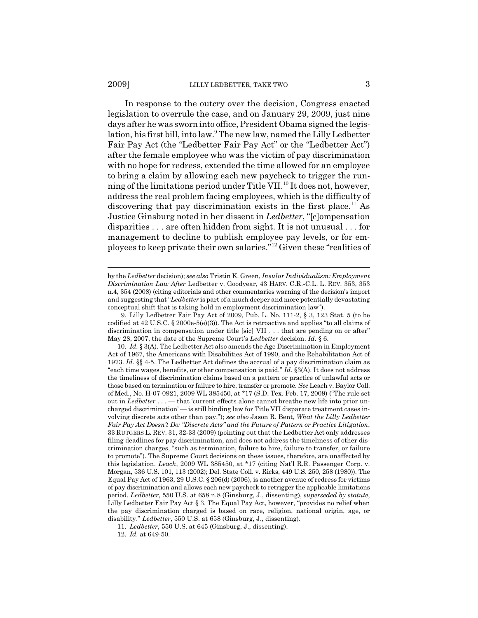#### 2009] LILLY LEDBETTER, TAKE TWO 3

In response to the outcry over the decision, Congress enacted legislation to overrule the case, and on January 29, 2009, just nine days after he was sworn into office, President Obama signed the legislation, his first bill, into law.9 The new law, named the Lilly Ledbetter Fair Pay Act (the "Ledbetter Fair Pay Act" or the "Ledbetter Act") after the female employee who was the victim of pay discrimination with no hope for redress, extended the time allowed for an employee to bring a claim by allowing each new paycheck to trigger the running of the limitations period under Title VII.<sup>10</sup> It does not, however, address the real problem facing employees, which is the difficulty of discovering that pay discrimination exists in the first place.<sup>11</sup> As Justice Ginsburg noted in her dissent in *Ledbetter*, "[c]ompensation disparities . . . are often hidden from sight. It is not unusual . . . for management to decline to publish employee pay levels, or for employees to keep private their own salaries."12 Given these "realities of

11. *Ledbetter*, 550 U.S. at 645 (Ginsburg, J., dissenting).

12. *Id.* at 649-50.

by the *Ledbetter* decision); *see also* Tristin K. Green, *Insular Individualism: Employment Discrimination Law After* Ledbetter v. Goodyear, 43 HARV. C.R.-C.L. L. REV. 353, 353 n.4, 354 (2008) (citing editorials and other commentaries warning of the decision's import and suggesting that "*Ledbetter* is part of a much deeper and more potentially devastating conceptual shift that is taking hold in employment discrimination law").

<sup>9.</sup> Lilly Ledbetter Fair Pay Act of 2009, Pub. L. No. 111-2, § 3, 123 Stat. 5 (to be codified at 42 U.S.C. § 2000e-5(e)(3)). The Act is retroactive and applies "to all claims of discrimination in compensation under title [sic] VII . . . that are pending on or after" May 28, 2007, the date of the Supreme Court's *Ledbetter* decision. *Id.* § 6.

<sup>10.</sup> *Id.* § 3(A). The Ledbetter Act also amends the Age Discrimination in Employment Act of 1967, the Americans with Disabilities Act of 1990, and the Rehabilitation Act of 1973. *Id.* §§ 4-5. The Ledbetter Act defines the accrual of a pay discrimination claim as "each time wages, benefits, or other compensation is paid." *Id.* §3(A). It does not address the timeliness of discrimination claims based on a pattern or practice of unlawful acts or those based on termination or failure to hire, transfer or promote. *See* Leach v. Baylor Coll. of Med., No. H-07-0921, 2009 WL 385450, at \*17 (S.D. Tex. Feb. 17, 2009) ("The rule set out in *Ledbetter* . . . — that 'current effects alone cannot breathe new life into prior uncharged discrimination' — is still binding law for Title VII disparate treatment cases involving discrete acts other than pay."); *see also* Jason R. Bent, *What the Lilly Ledbetter Fair Pay Act Doesn't Do: "Discrete Acts" and the Future of Pattern or Practice Litigation*, 33 RUTGERS L. REV. 31, 32-33 (2009) (pointing out that the Ledbetter Act only addresses filing deadlines for pay discrimination, and does not address the timeliness of other discrimination charges, "such as termination, failure to hire, failure to transfer, or failure to promote"). The Supreme Court decisions on these issues, therefore, are unaffected by this legislation. *Leach*, 2009 WL 385450, at \*17 (citing Nat'l R.R. Passenger Corp. v. Morgan, 536 U.S. 101, 113 (2002); Del. State Coll. v. Ricks, 449 U.S. 250, 258 (1980)). The Equal Pay Act of 1963, 29 U.S.C. § 206(d) (2006), is another avenue of redress for victims of pay discrimination and allows each new paycheck to retrigger the applicable limitations period. *Ledbetter*, 550 U.S. at 658 n.8 (Ginsburg, J., dissenting), *superseded by statute*, Lilly Ledbetter Fair Pay Act § 3. The Equal Pay Act, however, "provides no relief when the pay discrimination charged is based on race, religion, national origin, age, or disability." *Ledbetter*, 550 U.S. at 658 (Ginsburg, J., dissenting).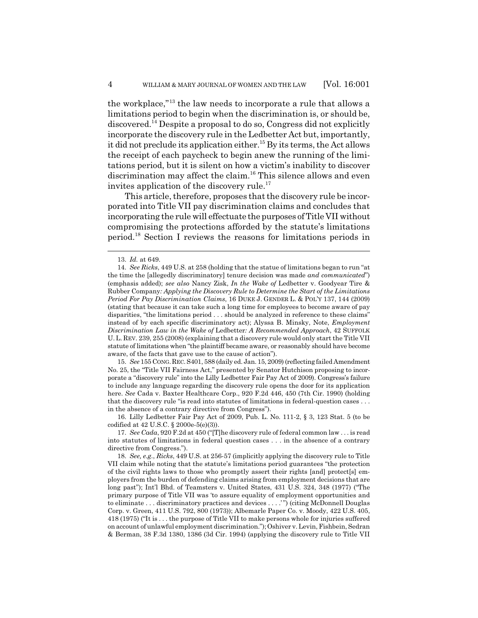the workplace,"13 the law needs to incorporate a rule that allows a limitations period to begin when the discrimination is, or should be, discovered.14 Despite a proposal to do so, Congress did not explicitly incorporate the discovery rule in the Ledbetter Act but, importantly, it did not preclude its application either.<sup>15</sup> By its terms, the Act allows the receipt of each paycheck to begin anew the running of the limitations period, but it is silent on how a victim's inability to discover discrimination may affect the claim.<sup>16</sup> This silence allows and even invites application of the discovery rule.<sup>17</sup>

This article, therefore, proposes that the discovery rule be incorporated into Title VII pay discrimination claims and concludes that incorporating the rule will effectuate the purposes of Title VII without compromising the protections afforded by the statute's limitations period.18 Section I reviews the reasons for limitations periods in

15. *See* 155 CONG.REC. S401, 588 (daily ed. Jan. 15, 2009) (reflecting failed Amendment No. 25, the "Title VII Fairness Act," presented by Senator Hutchison proposing to incorporate a "discovery rule" into the Lilly Ledbetter Fair Pay Act of 2009). Congress's failure to include any language regarding the discovery rule opens the door for its application here. *See* Cada v. Baxter Healthcare Corp., 920 F.2d 446, 450 (7th Cir. 1990) (holding that the discovery rule "is read into statutes of limitations in federal-question cases . . . in the absence of a contrary directive from Congress").

16. Lilly Ledbetter Fair Pay Act of 2009, Pub. L. No. 111-2, § 3, 123 Stat. 5 (to be codified at 42 U.S.C. § 2000e-5(e)(3)).

17. *See Cada*, 920 F.2d at 450 ("[T]he discovery rule of federal common law . . . is read into statutes of limitations in federal question cases . . . in the absence of a contrary directive from Congress.").

18. *See, e.g.*, *Ricks*, 449 U.S. at 256-57 (implicitly applying the discovery rule to Title VII claim while noting that the statute's limitations period guarantees "the protection of the civil rights laws to those who promptly assert their rights [and] protect[s] employers from the burden of defending claims arising from employment decisions that are long past"); Int'l Bhd. of Teamsters v. United States, 431 U.S. 324, 348 (1977) ("The primary purpose of Title VII was 'to assure equality of employment opportunities and to eliminate . . . discriminatory practices and devices . . . .' ") (citing McDonnell Douglas Corp. v. Green, 411 U.S. 792, 800 (1973)); Albemarle Paper Co. v. Moody, 422 U.S. 405, 418 (1975) ("It is . . . the purpose of Title VII to make persons whole for injuries suffered on account of unlawful employment discrimination."); Oshiver v. Levin, Fishbein, Sedran & Berman, 38 F.3d 1380, 1386 (3d Cir. 1994) (applying the discovery rule to Title VII

<sup>13.</sup> *Id.* at 649.

<sup>14.</sup> *See Ricks*, 449 U.S. at 258 (holding that the statue of limitations began to run "at the time the [allegedly discriminatory] tenure decision was made *and communicated*") (emphasis added); *see also* Nancy Zisk, *In the Wake of* Ledbetter v. Goodyear Tire & Rubber Company*: Applying the Discovery Rule to Determine the Start of the Limitations Period For Pay Discrimination Claims*, 16 DUKE J. GENDER L. & POL'Y 137, 144 (2009) (stating that because it can take such a long time for employees to become aware of pay disparities, "the limitations period . . . should be analyzed in reference to these claims" instead of by each specific discriminatory act); Alyssa B. Minsky, Note, *Employment Discrimination Law in the Wake of* Ledbetter*: A Recommended Approach*, 42 SUFFOLK U.L. REV. 239, 255 (2008) (explaining that a discovery rule would only start the Title VII statute of limitations when "the plaintiff became aware, or reasonably should have become aware, of the facts that gave use to the cause of action").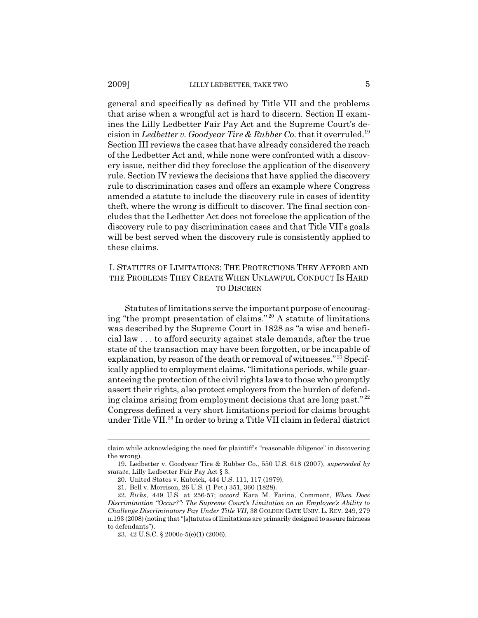general and specifically as defined by Title VII and the problems that arise when a wrongful act is hard to discern. Section II examines the Lilly Ledbetter Fair Pay Act and the Supreme Court's decision in *Ledbetter v. Goodyear Tire & Rubber Co.* that it overruled.<sup>19</sup> Section III reviews the cases that have already considered the reach of the Ledbetter Act and, while none were confronted with a discovery issue, neither did they foreclose the application of the discovery rule. Section IV reviews the decisions that have applied the discovery rule to discrimination cases and offers an example where Congress amended a statute to include the discovery rule in cases of identity theft, where the wrong is difficult to discover. The final section concludes that the Ledbetter Act does not foreclose the application of the discovery rule to pay discrimination cases and that Title VII's goals will be best served when the discovery rule is consistently applied to these claims.

## I. STATUTES OF LIMITATIONS: THE PROTECTIONS THEY AFFORD AND THE PROBLEMS THEY CREATE WHEN UNLAWFUL CONDUCT IS HARD TO DISCERN

Statutes of limitations serve the important purpose of encouraging "the prompt presentation of claims." 20 A statute of limitations was described by the Supreme Court in 1828 as "a wise and beneficial law . . . to afford security against stale demands, after the true state of the transaction may have been forgotten, or be incapable of explanation, by reason of the death or removal of witnesses." 21 Specifically applied to employment claims, "limitations periods, while guaranteeing the protection of the civil rights laws to those who promptly assert their rights, also protect employers from the burden of defending claims arising from employment decisions that are long past." <sup>22</sup> Congress defined a very short limitations period for claims brought under Title VII.23 In order to bring a Title VII claim in federal district

claim while acknowledging the need for plaintiff's "reasonable diligence" in discovering the wrong).

<sup>19.</sup> Ledbetter v. Goodyear Tire & Rubber Co., 550 U.S. 618 (2007), *superseded by statute*, Lilly Ledbetter Fair Pay Act § 3.

<sup>20.</sup> United States v. Kubrick, 444 U.S. 111, 117 (1979).

<sup>21.</sup> Bell v. Morrison, 26 U.S. (1 Pet.) 351, 360 (1828).

<sup>22.</sup> *Ricks*, 449 U.S. at 256-57; *accord* Kara M. Farina, Comment, *When Does Discrimination "Occur?": The Supreme Court's Limitation on an Employee's Ability to Challenge Discriminatory Pay Under Title VII*, 38 GOLDEN GATE UNIV. L. REV. 249, 279 n.193 (2008) (noting that "[s]tatutes of limitations are primarily designed to assure fairness to defendants").

<sup>23. 42</sup> U.S.C. § 2000e-5(e)(1) (2006).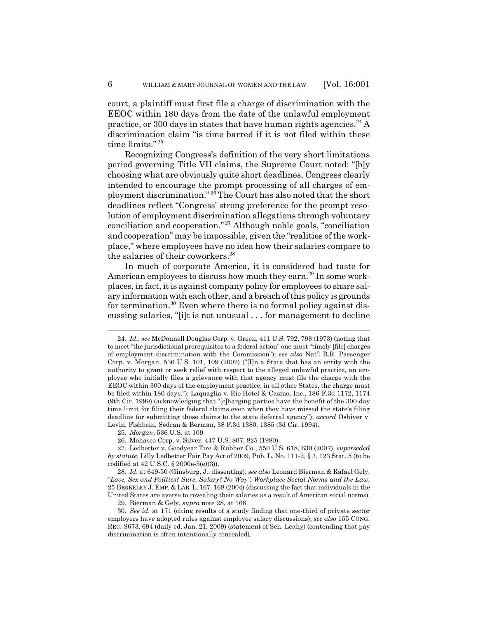court, a plaintiff must first file a charge of discrimination with the EEOC within 180 days from the date of the unlawful employment practice, or 300 days in states that have human rights agencies. $^{24}$  A discrimination claim "is time barred if it is not filed within these time limits."<sup>25</sup>

Recognizing Congress's definition of the very short limitations period governing Title VII claims, the Supreme Court noted: "[b]y choosing what are obviously quite short deadlines, Congress clearly intended to encourage the prompt processing of all charges of employment discrimination." 26 The Court has also noted that the short deadlines reflect "Congress' strong preference for the prompt resolution of employment discrimination allegations through voluntary conciliation and cooperation." 27 Although noble goals, "conciliation and cooperation" may be impossible, given the "realities of the workplace," where employees have no idea how their salaries compare to the salaries of their coworkers.<sup>28</sup>

In much of corporate America, it is considered bad taste for American employees to discuss how much they earn.<sup>29</sup> In some workplaces, in fact, it is against company policy for employees to share salary information with each other, and a breach of this policy is grounds for termination.<sup>30</sup> Even where there is no formal policy against discussing salaries, "[i]t is not unusual . . . for management to decline

<sup>24.</sup> *Id.*; *see* McDonnell Douglas Corp. v. Green, 411 U.S. 792, 798 (1973) (noting that to meet "the jurisdictional prerequisites to a federal action" one must "timely [file] charges of employment discrimination with the Commission"); *see also* Nat'l R.R. Passenger Corp. v. Morgan, 536 U.S. 101, 109 (2002) ("[I]n a State that has an entity with the authority to grant or seek relief with respect to the alleged unlawful practice, an employee who initially files a grievance with that agency must file the charge with the EEOC within 300 days of the employment practice; in all other States, the charge must be filed within 180 days."); Laquaglia v. Rio Hotel & Casino, Inc., 186 F.3d 1172, 1174 (9th Cir. 1999) (acknowledging that "[c]harging parties have the benefit of the 300-day time limit for filing their federal claims even when they have missed the state's filing deadline for submitting those claims to the state deferral agency"); *accord* Oshiver v. Levin, Fishbein, Sedran & Berman, 38 F.3d 1380, 1385 (3d Cir. 1994).

<sup>25.</sup> *Morgan*, 536 U.S. at 109.

<sup>26.</sup> Mohasco Corp. v. Silver, 447 U.S. 807, 825 (1980).

<sup>27.</sup> Ledbetter v. Goodyear Tire & Rubber Co., 550 U.S. 618, 630 (2007), *superseded by statute*, Lilly Ledbetter Fair Pay Act of 2009, Pub. L. No. 111-2, § 3, 123 Stat. 5 (to be codified at 42 U.S.C. § 2000e-5(e)(3)).

<sup>28.</sup> *Id.* at 649-50 (Ginsburg, J., dissenting); *see also* Leonard Bierman & Rafael Gely, *"Love, Sex and Politics? Sure. Salary? No Way": Workplace Social Norms and the Law*, 25 BERKELEY J. EMP. & LAB. L. 167, 168 (2004) (discussing the fact that individuals in the United States are averse to revealing their salaries as a result of American social norms).

<sup>29.</sup> Bierman & Gely, *supra* note 28, at 168.

<sup>30.</sup> *See id.* at 171 (citing results of a study finding that one-third of private sector employers have adopted rules against employee salary discussions); *see also* 155 CONG. REC. S673, 694 (daily ed. Jan. 21, 2009) (statement of Sen. Leahy) (contending that pay discrimination is often intentionally concealed).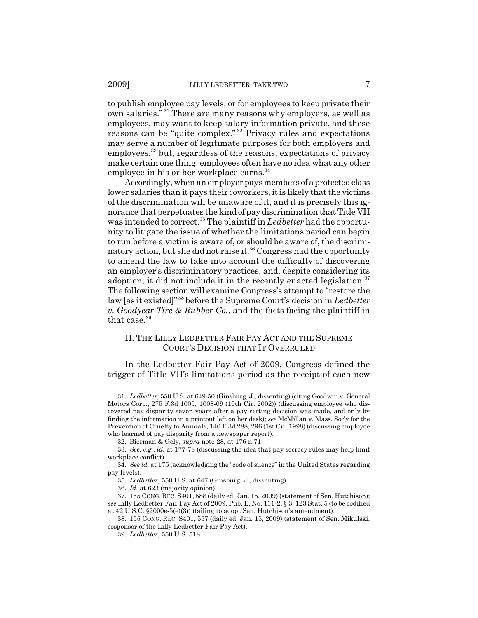to publish employee pay levels, or for employees to keep private their own salaries." 31 There are many reasons why employers, as well as employees, may want to keep salary information private, and these reasons can be "quite complex." 32 Privacy rules and expectations may serve a number of legitimate purposes for both employers and employees,<sup>33</sup> but, regardless of the reasons, expectations of privacy make certain one thing: employees often have no idea what any other employee in his or her workplace earns.<sup>34</sup>

Accordingly, when an employer pays members of a protected class lower salaries than it pays their coworkers, it is likely that the victims of the discrimination will be unaware of it, and it is precisely this ignorance that perpetuates the kind of pay discrimination that Title VII was intended to correct.<sup>35</sup> The plaintiff in *Ledbetter* had the opportunity to litigate the issue of whether the limitations period can begin to run before a victim is aware of, or should be aware of, the discriminatory action, but she did not raise it.<sup>36</sup> Congress had the opportunity to amend the law to take into account the difficulty of discovering an employer's discriminatory practices, and, despite considering its adoption, it did not include it in the recently enacted legislation. $37$ The following section will examine Congress's attempt to "restore the law [as it existed]" 38 before the Supreme Court's decision in *Ledbetter v. Goodyear Tire & Rubber Co.*, and the facts facing the plaintiff in that case.<sup>39</sup>

## II. THE LILLY LEDBETTER FAIR PAY ACT AND THE SUPREME COURT'S DECISION THAT IT OVERRULED

In the Ledbetter Fair Pay Act of 2009, Congress defined the trigger of Title VII's limitations period as the receipt of each new

<sup>31.</sup> *Ledbetter*, 550 U.S. at 649-50 (Ginsburg, J., dissenting) (citing Goodwin v. General Motors Corp., 275 F.3d 1005, 1008-09 (10th Cir. 2002)) (discussing employee who discovered pay disparity seven years after a pay-setting decision was made, and only by finding the information in a printout left on her desk); *see* McMillan v. Mass. Soc'y for the Prevention of Cruelty to Animals, 140 F.3d 288, 296 (1st Cir. 1998) (discussing employee who learned of pay disparity from a newspaper report).

<sup>32.</sup> Bierman & Gely, *supra* note 28, at 176 n.71.

<sup>33.</sup> *See, e.g.*, *id.* at 177-78 (discussing the idea that pay secrecy rules may help limit workplace conflict).

<sup>34.</sup> *See id.* at 175 (acknowledging the "code of silence" in the United States regarding pay levels).

<sup>35.</sup> *Ledbetter*, 550 U.S. at 647 (Ginsburg, J., dissenting).

<sup>36.</sup> *Id.* at 623 (majority opinion).

<sup>37. 155</sup> CONG. REC. S401, 588 (daily ed. Jan. 15, 2009) (statement of Sen. Hutchison); *see* Lilly Ledbetter Fair Pay Act of 2009, Pub. L. No. 111-2, § 3, 123 Stat. 5 (to be codified at 42 U.S.C. §2000e-5(e)(3)) (failing to adopt Sen. Hutchison's amendment).

<sup>38. 155</sup> CONG. REC. S401, 557 (daily ed. Jan. 15, 2009) (statement of Sen. Mikulski, cosponsor of the Lilly Ledbetter Fair Pay Act).

<sup>39.</sup> *Ledbetter*, 550 U.S. 518.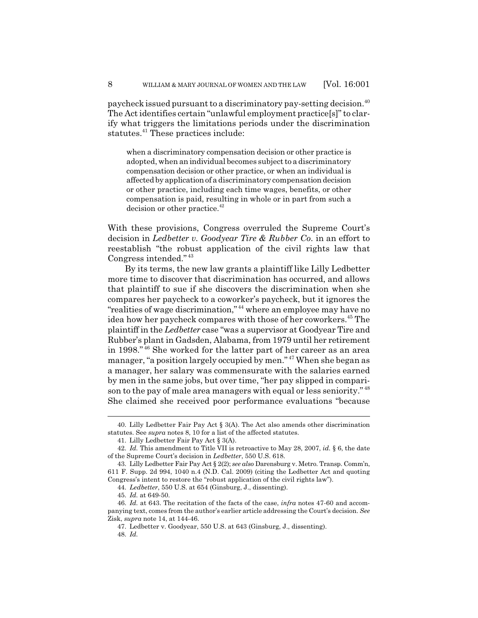paycheck issued pursuant to a discriminatory pay-setting decision.<sup>40</sup> The Act identifies certain "unlawful employment practice[s]" to clarify what triggers the limitations periods under the discrimination statutes.<sup>41</sup> These practices include:

when a discriminatory compensation decision or other practice is adopted, when an individual becomes subject to a discriminatory compensation decision or other practice, or when an individual is affected by application of a discriminatory compensation decision or other practice, including each time wages, benefits, or other compensation is paid, resulting in whole or in part from such a decision or other practice.<sup>42</sup>

With these provisions, Congress overruled the Supreme Court's decision in *Ledbetter v. Goodyear Tire & Rubber Co.* in an effort to reestablish "the robust application of the civil rights law that Congress intended." <sup>43</sup>

By its terms, the new law grants a plaintiff like Lilly Ledbetter more time to discover that discrimination has occurred, and allows that plaintiff to sue if she discovers the discrimination when she compares her paycheck to a coworker's paycheck, but it ignores the "realities of wage discrimination," 44 where an employee may have no idea how her paycheck compares with those of her coworkers.<sup>45</sup> The plaintiff in the *Ledbetter* case "was a supervisor at Goodyear Tire and Rubber's plant in Gadsden, Alabama, from 1979 until her retirement in 1998." 46 She worked for the latter part of her career as an area manager, "a position largely occupied by men." 47 When she began as a manager, her salary was commensurate with the salaries earned by men in the same jobs, but over time, "her pay slipped in comparison to the pay of male area managers with equal or less seniority." <sup>48</sup> She claimed she received poor performance evaluations "because

<sup>40.</sup> Lilly Ledbetter Fair Pay Act § 3(A). The Act also amends other discrimination statutes. See *supra* notes 8, 10 for a list of the affected statutes.

<sup>41.</sup> Lilly Ledbetter Fair Pay Act § 3(A).

<sup>42.</sup> *Id.* This amendment to Title VII is retroactive to May 28, 2007, *id.* § 6, the date of the Supreme Court's decision in *Ledbetter*, 550 U.S. 618.

<sup>43.</sup> Lilly Ledbetter Fair Pay Act § 2(2); *see also* Darensburg v. Metro. Transp. Comm'n, 611 F. Supp. 2d 994, 1040 n.4 (N.D. Cal. 2009) (citing the Ledbetter Act and quoting Congress's intent to restore the "robust application of the civil rights law").

<sup>44.</sup> *Ledbetter*, 550 U.S. at 654 (Ginsburg, J., dissenting).

<sup>45.</sup> *Id.* at 649-50.

<sup>46.</sup> *Id.* at 643. The recitation of the facts of the case, *infra* notes 47-60 and accompanying text, comes from the author's earlier article addressing the Court's decision. *See* Zisk, *supra* note 14, at 144-46.

<sup>47.</sup> Ledbetter v. Goodyear, 550 U.S. at 643 (Ginsburg, J., dissenting).

<sup>48.</sup> *Id.*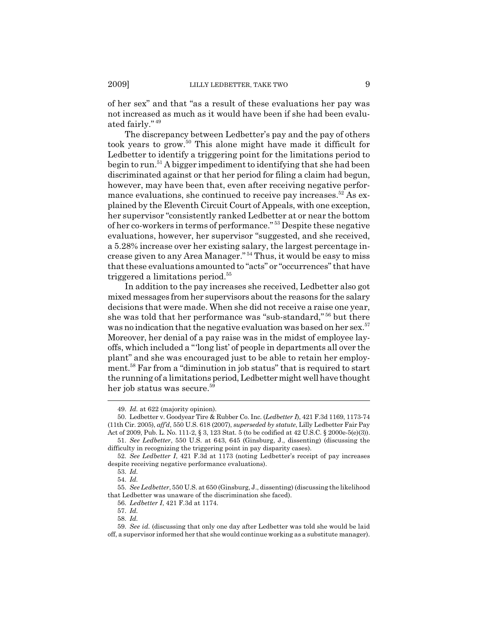of her sex" and that "as a result of these evaluations her pay was not increased as much as it would have been if she had been evaluated fairly." <sup>49</sup>

The discrepancy between Ledbetter's pay and the pay of others took years to grow.50 This alone might have made it difficult for Ledbetter to identify a triggering point for the limitations period to begin to run.51 A bigger impediment to identifying that she had been discriminated against or that her period for filing a claim had begun, however, may have been that, even after receiving negative performance evaluations, she continued to receive pay increases.<sup>52</sup> As explained by the Eleventh Circuit Court of Appeals, with one exception, her supervisor "consistently ranked Ledbetter at or near the bottom of her co-workers in terms of performance." 53 Despite these negative evaluations, however, her supervisor "suggested, and she received, a 5.28% increase over her existing salary, the largest percentage increase given to any Area Manager." 54 Thus, it would be easy to miss that these evaluations amounted to "acts" or "occurrences" that have triggered a limitations period.<sup>55</sup>

In addition to the pay increases she received, Ledbetter also got mixed messages from her supervisors about the reasons for the salary decisions that were made. When she did not receive a raise one year, she was told that her performance was "sub-standard," 56 but there was no indication that the negative evaluation was based on her sex.<sup>57</sup> Moreover, her denial of a pay raise was in the midst of employee layoffs, which included a "'long list' of people in departments all over the plant" and she was encouraged just to be able to retain her employment.58 Far from a "diminution in job status" that is required to start the running of a limitations period, Ledbetter might well have thought her job status was secure.<sup>59</sup>

<sup>49.</sup> *Id.* at 622 (majority opinion).

<sup>50.</sup> Ledbetter v. Goodyear Tire & Rubber Co. Inc. (*Ledbetter I*), 421 F.3d 1169, 1173-74 (11th Cir. 2005), *aff'd*, 550 U.S. 618 (2007), *superseded by statute*, Lilly Ledbetter Fair Pay Act of 2009, Pub. L. No. 111-2, § 3, 123 Stat. 5 (to be codified at 42 U.S.C. § 2000e-5(e)(3)).

<sup>51.</sup> *See Ledbetter*, 550 U.S. at 643, 645 (Ginsburg, J., dissenting) (discussing the difficulty in recognizing the triggering point in pay disparity cases).

<sup>52.</sup> *See Ledbetter I*, 421 F.3d at 1173 (noting Ledbetter's receipt of pay increases despite receiving negative performance evaluations).

<sup>53.</sup> *Id.*

<sup>54.</sup> *Id.*

<sup>55.</sup> *See Ledbetter*, 550 U.S. at 650 (Ginsburg, J., dissenting) (discussing the likelihood that Ledbetter was unaware of the discrimination she faced).

<sup>56.</sup> *Ledbetter I*, 421 F.3d at 1174.

<sup>57.</sup> *Id.*

<sup>58.</sup> *Id.*

<sup>59.</sup> *See id.* (discussing that only one day after Ledbetter was told she would be laid off, a supervisor informed her that she would continue working as a substitute manager).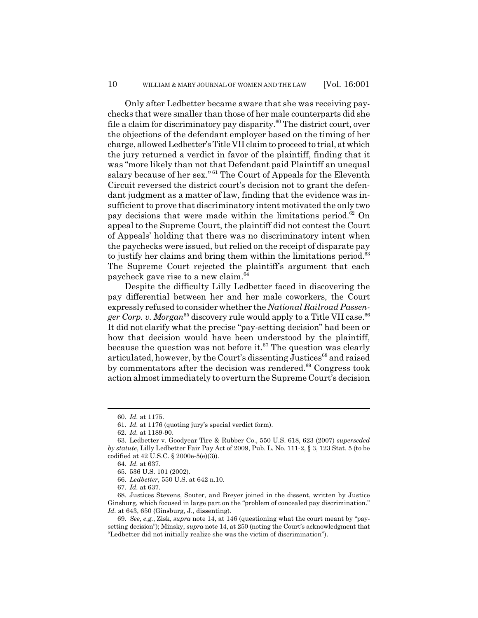Only after Ledbetter became aware that she was receiving paychecks that were smaller than those of her male counterparts did she file a claim for discriminatory pay disparity.<sup>60</sup> The district court, over the objections of the defendant employer based on the timing of her charge, allowed Ledbetter's Title VII claim to proceed to trial, at which the jury returned a verdict in favor of the plaintiff, finding that it was "more likely than not that Defendant paid Plaintiff an unequal salary because of her sex."<sup>61</sup> The Court of Appeals for the Eleventh Circuit reversed the district court's decision not to grant the defendant judgment as a matter of law, finding that the evidence was insufficient to prove that discriminatory intent motivated the only two pay decisions that were made within the limitations period. $62$  On appeal to the Supreme Court, the plaintiff did not contest the Court of Appeals' holding that there was no discriminatory intent when the paychecks were issued, but relied on the receipt of disparate pay to justify her claims and bring them within the limitations period.<sup>63</sup> The Supreme Court rejected the plaintiff's argument that each paycheck gave rise to a new claim.64

Despite the difficulty Lilly Ledbetter faced in discovering the pay differential between her and her male coworkers, the Court expressly refused to consider whether the *National Railroad Passen*ger Corp. v. Morgan<sup>65</sup> discovery rule would apply to a Title VII case.<sup>66</sup> It did not clarify what the precise "pay-setting decision" had been or how that decision would have been understood by the plaintiff, because the question was not before it.<sup>67</sup> The question was clearly articulated, however, by the Court's dissenting Justices<sup>68</sup> and raised by commentators after the decision was rendered.<sup>69</sup> Congress took action almost immediately to overturn the Supreme Court's decision

<sup>60.</sup> *Id.* at 1175.

<sup>61.</sup> *Id.* at 1176 (quoting jury's special verdict form).

<sup>62.</sup> *Id.* at 1189-90.

<sup>63.</sup> Ledbetter v. Goodyear Tire & Rubber Co., 550 U.S. 618, 623 (2007) *superseded by statute*, Lilly Ledbetter Fair Pay Act of 2009, Pub. L. No. 111-2, § 3, 123 Stat. 5 (to be codified at 42 U.S.C. § 2000e-5(e)(3)).

<sup>64.</sup> *Id.* at 637.

<sup>65. 536</sup> U.S. 101 (2002).

<sup>66.</sup> *Ledbetter*, 550 U.S. at 642 n.10.

<sup>67.</sup> *Id.* at 637.

<sup>68.</sup> Justices Stevens, Souter, and Breyer joined in the dissent, written by Justice Ginsburg, which focused in large part on the "problem of concealed pay discrimination." *Id.* at 643, 650 (Ginsburg, J., dissenting).

<sup>69.</sup> *See, e.g.*, Zisk, *supra* note 14, at 146 (questioning what the court meant by "paysetting decision"); Minsky, *supra* note 14, at 250 (noting the Court's acknowledgment that "Ledbetter did not initially realize she was the victim of discrimination").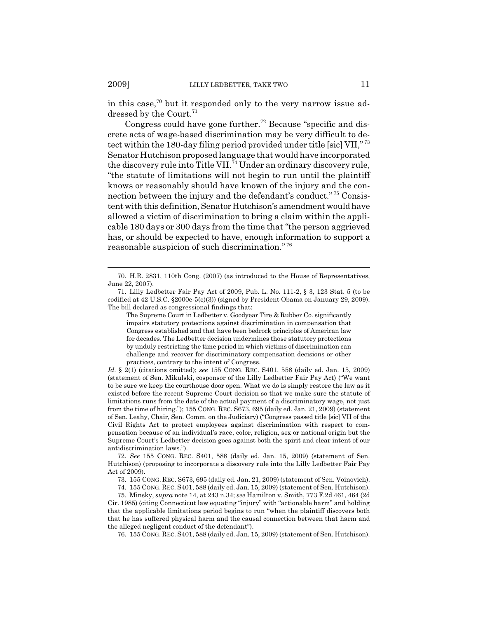in this case,<sup>70</sup> but it responded only to the very narrow issue addressed by the Court. $^{\rm 71}$ 

Congress could have gone further.<sup>72</sup> Because "specific and discrete acts of wage-based discrimination may be very difficult to detect within the 180-day filing period provided under title [sic] VII," <sup>73</sup> Senator Hutchison proposed language that would have incorporated the discovery rule into Title VII.<sup>74</sup> Under an ordinary discovery rule, "the statute of limitations will not begin to run until the plaintiff knows or reasonably should have known of the injury and the connection between the injury and the defendant's conduct." 75 Consistent with this definition, Senator Hutchison's amendment would have allowed a victim of discrimination to bring a claim within the applicable 180 days or 300 days from the time that "the person aggrieved has, or should be expected to have, enough information to support a reasonable suspicion of such discrimination." <sup>76</sup>

The Supreme Court in Ledbetter v. Goodyear Tire & Rubber Co. significantly impairs statutory protections against discrimination in compensation that Congress established and that have been bedrock principles of American law for decades. The Ledbetter decision undermines those statutory protections by unduly restricting the time period in which victims of discrimination can challenge and recover for discriminatory compensation decisions or other practices, contrary to the intent of Congress.

*Id.* § 2(1) (citations omitted); *see* 155 CONG. REC. S401, 558 (daily ed. Jan. 15, 2009) (statement of Sen. Mikulski, cosponsor of the Lilly Ledbetter Fair Pay Act) ("We want to be sure we keep the courthouse door open. What we do is simply restore the law as it existed before the recent Supreme Court decision so that we make sure the statute of limitations runs from the date of the actual payment of a discriminatory wage, not just from the time of hiring."); 155 CONG. REC. S673, 695 (daily ed. Jan. 21, 2009) (statement of Sen. Leahy, Chair, Sen. Comm. on the Judiciary) ("Congress passed title [sic] VII of the Civil Rights Act to protect employees against discrimination with respect to compensation because of an individual's race, color, religion, sex or national origin but the Supreme Court's Ledbetter decision goes against both the spirit and clear intent of our antidiscrimination laws.").

72. *See* 155 CONG. REC. S401, 588 (daily ed. Jan. 15, 2009) (statement of Sen. Hutchison) (proposing to incorporate a discovery rule into the Lilly Ledbetter Fair Pay Act of 2009).

73. 155 CONG. REC. S673, 695 (daily ed. Jan. 21, 2009) (statement of Sen. Voinovich).

74. 155 CONG. REC. S401, 588 (daily ed. Jan. 15, 2009) (statement of Sen. Hutchison).

75. Minsky, *supra* note 14, at 243 n.34; *see* Hamilton v. Smith, 773 F.2d 461, 464 (2d Cir. 1985) (citing Connecticut law equating "injury" with "actionable harm" and holding that the applicable limitations period begins to run "when the plaintiff discovers both that he has suffered physical harm and the causal connection between that harm and the alleged negligent conduct of the defendant").

76. 155 CONG. REC. S401, 588 (daily ed. Jan. 15, 2009) (statement of Sen. Hutchison).

<sup>70.</sup> H.R. 2831, 110th Cong. (2007) (as introduced to the House of Representatives, June 22, 2007).

<sup>71.</sup> Lilly Ledbetter Fair Pay Act of 2009, Pub. L. No. 111-2, § 3, 123 Stat. 5 (to be codified at 42 U.S.C. §2000e-5(e)(3)) (signed by President Obama on January 29, 2009). The bill declared as congressional findings that: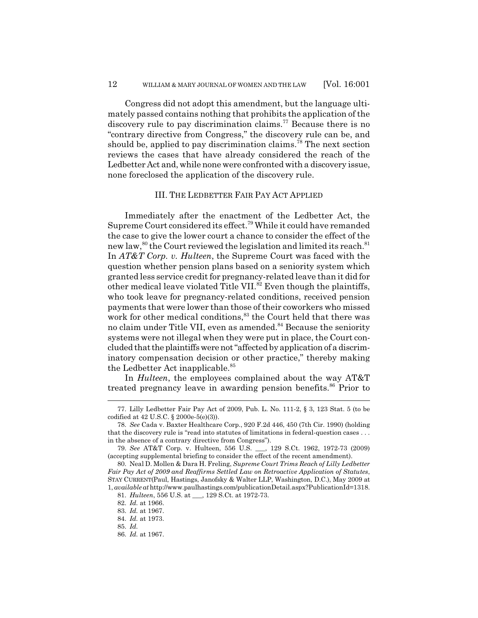Congress did not adopt this amendment, but the language ultimately passed contains nothing that prohibits the application of the discovery rule to pay discrimination claims.<sup>77</sup> Because there is no "contrary directive from Congress," the discovery rule can be, and should be, applied to pay discrimination claims.<sup>78</sup> The next section reviews the cases that have already considered the reach of the Ledbetter Act and, while none were confronted with a discovery issue, none foreclosed the application of the discovery rule.

#### III. THE LEDBETTER FAIR PAY ACT APPLIED

Immediately after the enactment of the Ledbetter Act, the Supreme Court considered its effect.79 While it could have remanded the case to give the lower court a chance to consider the effect of the new law,<sup>80</sup> the Court reviewed the legislation and limited its reach.<sup>81</sup> In *AT&T Corp. v. Hulteen*, the Supreme Court was faced with the question whether pension plans based on a seniority system which granted less service credit for pregnancy-related leave than it did for other medical leave violated Title VII.<sup>82</sup> Even though the plaintiffs, who took leave for pregnancy-related conditions, received pension payments that were lower than those of their coworkers who missed work for other medical conditions,<sup>83</sup> the Court held that there was no claim under Title VII, even as amended.<sup>84</sup> Because the seniority systems were not illegal when they were put in place, the Court concluded that the plaintiffs were not "affected by application of a discriminatory compensation decision or other practice," thereby making the Ledbetter Act inapplicable.<sup>85</sup>

In *Hulteen*, the employees complained about the way AT&T treated pregnancy leave in awarding pension benefits.<sup>86</sup> Prior to

<sup>77.</sup> Lilly Ledbetter Fair Pay Act of 2009, Pub. L. No. 111-2, § 3, 123 Stat. 5 (to be codified at 42 U.S.C. § 2000e-5(e)(3)).

<sup>78.</sup> *See* Cada v. Baxter Healthcare Corp., 920 F.2d 446, 450 (7th Cir. 1990) (holding that the discovery rule is "read into statutes of limitations in federal-question cases . . . in the absence of a contrary directive from Congress").

<sup>79.</sup> *See* AT&T Corp. v. Hulteen, 556 U.S. \_\_\_, 129 S.Ct. 1962, 1972-73 (2009) (accepting supplemental briefing to consider the effect of the recent amendment).

<sup>80.</sup> Neal D. Mollen & Dara H. Freling, *Supreme Court Trims Reach of Lilly Ledbetter Fair Pay Act of 2009 and Reaffirms Settled Law on Retroactive Application of Statutes*, STAY CURRENT(Paul, Hastings, Janofsky & Walter LLP, Washington, D.C.), May 2009 at 1, *available at* http://www.paulhastings.com/publicationDetail.aspx?PublicationId=1318.

<sup>81.</sup> *Hulteen*, 556 U.S. at \_\_\_, 129 S.Ct. at 1972-73.

<sup>82.</sup> *Id.* at 1966.

<sup>83.</sup> *Id.* at 1967.

<sup>84.</sup> *Id.* at 1973.

<sup>85.</sup> *Id.*

<sup>86.</sup> *Id.* at 1967.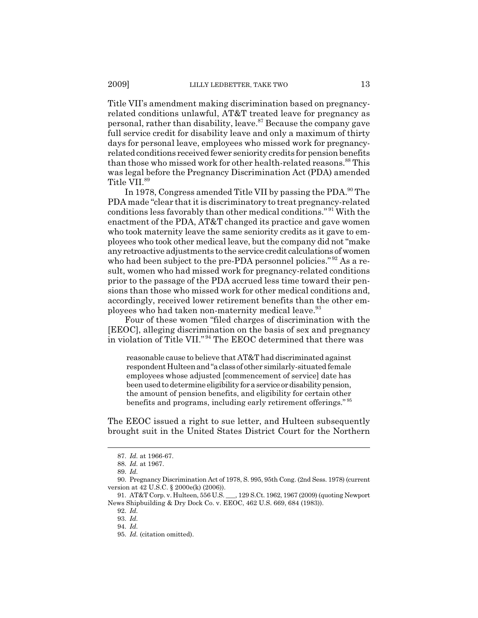Title VII's amendment making discrimination based on pregnancyrelated conditions unlawful, AT&T treated leave for pregnancy as personal, rather than disability, leave. $87$  Because the company gave full service credit for disability leave and only a maximum of thirty days for personal leave, employees who missed work for pregnancyrelated conditions received fewer seniority credits for pension benefits than those who missed work for other health-related reasons.<sup>88</sup> This was legal before the Pregnancy Discrimination Act (PDA) amended Title VII.<sup>89</sup>

In 1978, Congress amended Title VII by passing the PDA.<sup>90</sup> The PDA made "clear that it is discriminatory to treat pregnancy-related conditions less favorably than other medical conditions." 91 With the enactment of the PDA, AT&T changed its practice and gave women who took maternity leave the same seniority credits as it gave to employees who took other medical leave, but the company did not "make any retroactive adjustments to the service credit calculations of women who had been subject to the pre-PDA personnel policies."<sup>92</sup> As a result, women who had missed work for pregnancy-related conditions prior to the passage of the PDA accrued less time toward their pensions than those who missed work for other medical conditions and, accordingly, received lower retirement benefits than the other employees who had taken non-maternity medical leave.<sup>93</sup>

Four of these women "filed charges of discrimination with the [EEOC], alleging discrimination on the basis of sex and pregnancy in violation of Title VII." 94 The EEOC determined that there was

reasonable cause to believe that AT&T had discriminated against respondent Hulteen and "a class of other similarly-situated female employees whose adjusted [commencement of service] date has been used to determine eligibility for a service or disability pension, the amount of pension benefits, and eligibility for certain other benefits and programs, including early retirement offerings." <sup>95</sup>

The EEOC issued a right to sue letter, and Hulteen subsequently brought suit in the United States District Court for the Northern

<sup>87.</sup> *Id.* at 1966-67.

<sup>88.</sup> *Id.* at 1967.

<sup>89.</sup> *Id.*

<sup>90.</sup> Pregnancy Discrimination Act of 1978, S. 995, 95th Cong. (2nd Sess. 1978) (current version at 42 U.S.C. § 2000e(k) (2006)).<br>91. AT&T Corp. v. Hulteen, 556 U.S.

<sup>1. 129</sup> S.Ct. 1962, 1967 (2009) (quoting Newport News Shipbuilding & Dry Dock Co. v. EEOC, 462 U.S. 669, 684 (1983)).

<sup>92.</sup> *Id.*

<sup>93.</sup> *Id.*

<sup>94.</sup> *Id.*

<sup>95.</sup> *Id.* (citation omitted).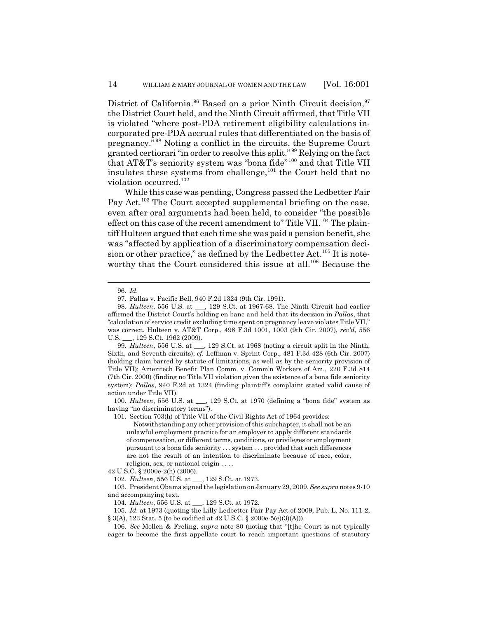District of California.<sup>96</sup> Based on a prior Ninth Circuit decision.<sup>97</sup> the District Court held, and the Ninth Circuit affirmed, that Title VII is violated "where post-PDA retirement eligibility calculations incorporated pre-PDA accrual rules that differentiated on the basis of pregnancy." 98 Noting a conflict in the circuits, the Supreme Court granted certiorari "in order to resolve this split." 99 Relying on the fact that AT&T's seniority system was "bona fide"100 and that Title VII insulates these systems from challenge, $101$  the Court held that no violation occurred.<sup>102</sup>

While this case was pending, Congress passed the Ledbetter Fair Pay Act.<sup>103</sup> The Court accepted supplemental briefing on the case, even after oral arguments had been held, to consider "the possible effect on this case of the recent amendment to" Title VII.<sup>104</sup> The plaintiff Hulteen argued that each time she was paid a pension benefit, she was "affected by application of a discriminatory compensation decision or other practice," as defined by the Ledbetter Act.<sup>105</sup> It is noteworthy that the Court considered this issue at all.<sup>106</sup> Because the

100. *Hulteen*, 556 U.S. at \_\_\_, 129 S.Ct. at 1970 (defining a "bona fide" system as having "no discriminatory terms").

101. Section 703(h) of Title VII of the Civil Rights Act of 1964 provides:

Notwithstanding any other provision of this subchapter, it shall not be an unlawful employment practice for an employer to apply different standards of compensation, or different terms, conditions, or privileges or employment pursuant to a bona fide seniority . . . system . . . provided that such differences are not the result of an intention to discriminate because of race, color, religion, sex, or national origin . . . .

42 U.S.C. § 2000e-2(h) (2006).

102. *Hulteen*, 556 U.S. at \_\_\_, 129 S.Ct. at 1973.

103. President Obama signed the legislation on January 29, 2009. *See supra* notes 9-10 and accompanying text.

104. *Hulteen*, 556 U.S. at \_\_\_, 129 S.Ct. at 1972.

105. *Id.* at 1973 (quoting the Lilly Ledbetter Fair Pay Act of 2009, Pub. L. No. 111-2, § 3(A), 123 Stat. 5 (to be codified at 42 U.S.C. § 2000e-5(e)(3)(A))).

106. *See* Mollen & Freling, *supra* note 80 (noting that "[t]he Court is not typically eager to become the first appellate court to reach important questions of statutory

<sup>96.</sup> *Id.*

<sup>97.</sup> Pallas v. Pacific Bell, 940 F.2d 1324 (9th Cir. 1991).

<sup>98.</sup> *Hulteen*, 556 U.S. at \_\_\_, 129 S.Ct. at 1967-68. The Ninth Circuit had earlier affirmed the District Court's holding en banc and held that its decision in *Pallas*, that "calculation of service credit excluding time spent on pregnancy leave violates Title VII," was correct. Hulteen v. AT&T Corp., 498 F.3d 1001, 1003 (9th Cir. 2007), *rev'd*, 556 U.S.  $\qquad$ , 129 S.Ct. 1962 (2009).

<sup>99.</sup> *Hulteen*, 556 U.S. at \_\_\_, 129 S.Ct. at 1968 (noting a circuit split in the Ninth, Sixth, and Seventh circuits); *cf.* Leffman v. Sprint Corp., 481 F.3d 428 (6th Cir. 2007) (holding claim barred by statute of limitations, as well as by the seniority provision of Title VII); Ameritech Benefit Plan Comm. v. Comm'n Workers of Am., 220 F.3d 814 (7th Cir. 2000) (finding no Title VII violation given the existence of a bona fide seniority system); *Pallas*, 940 F.2d at 1324 (finding plaintiff's complaint stated valid cause of action under Title VII).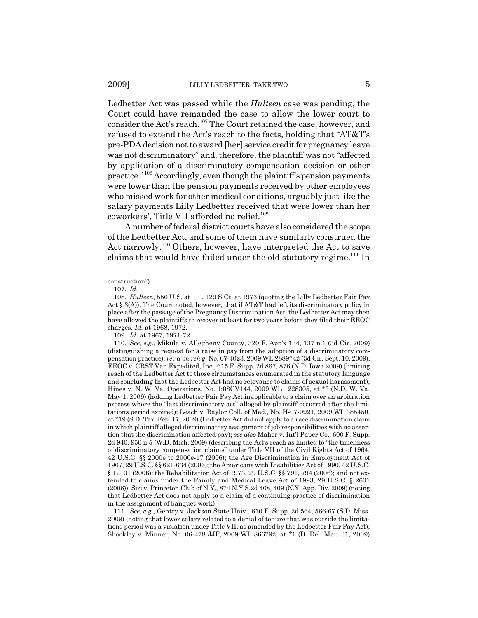Ledbetter Act was passed while the *Hulteen* case was pending, the Court could have remanded the case to allow the lower court to consider the Act's reach.<sup>107</sup> The Court retained the case, however, and refused to extend the Act's reach to the facts, holding that "AT&T's pre-PDA decision not to award [her] service credit for pregnancy leave was not discriminatory" and, therefore, the plaintiff was not "affected by application of a discriminatory compensation decision or other practice."108 Accordingly, even though the plaintiff's pension payments were lower than the pension payments received by other employees who missed work for other medical conditions, arguably just like the salary payments Lilly Ledbetter received that were lower than her coworkers', Title VII afforded no relief.<sup>109</sup>

A number of federal district courts have also considered the scope of the Ledbetter Act, and some of them have similarly construed the Act narrowly.<sup>110</sup> Others, however, have interpreted the Act to save claims that would have failed under the old statutory regime.<sup>111</sup> In

111. *See, e.g.*, Gentry v. Jackson State Univ., 610 F. Supp. 2d 564, 566-67 (S.D. Miss. 2009) (noting that lower salary related to a denial of tenure that was outside the limitations period was a violation under Title VII, as amended by the Ledbetter Fair Pay Act); Shockley v. Minner, No. 06-478 JJF, 2009 WL 866792, at \*1 (D. Del. Mar. 31, 2009)

construction").

<sup>107.</sup> *Id.*

<sup>108.</sup> *Hulteen*, 556 U.S. at \_\_\_, 129 S.Ct. at 1973 (quoting the Lilly Ledbetter Fair Pay Act § 3(A)). The Court noted, however, that if AT&T had left its discriminatory policy in place after the passage of the Pregnancy Discrimination Act, the Ledbetter Act may then have allowed the plaintiffs to recover at least for two years before they filed their EEOC charges. *Id.* at 1968, 1972.

<sup>109.</sup> *Id.* at 1967, 1971-72.

<sup>110.</sup> *See, e.g.*, Mikula v. Allegheny County, 320 F. App'x 134, 137 n.1 (3d Cir. 2009) (distinguishing a request for a raise in pay from the adoption of a discriminatory compensation practice), *rev'd on reh'g*, No. 07-4023, 2009 WL 2889742 (3d Cir. Sept. 10, 2009); EEOC v. CRST Van Expedited, Inc., 615 F. Supp. 2d 867, 876 (N.D. Iowa 2009) (limiting reach of the Ledbetter Act to those circumstances enumerated in the statutory language and concluding that the Ledbetter Act had no relevance to claims of sexual harassment); Hines v. N. W. Va. Operations, No. 1:08CV144, 2009 WL 1228305, at \*3 (N.D. W. Va. May 1, 2009) (holding Ledbetter Fair Pay Act inapplicable to a claim over an arbitration process where the "last discriminatory act" alleged by plaintiff occurred after the limitations period expired); Leach v. Baylor Coll. of Med., No. H-07-0921, 2009 WL 385450, at \*19 (S.D. Tex. Feb. 17, 2009) (Ledbetter Act did not apply to a race discrimination claim in which plaintiff alleged discriminatory assignment of job responsibilities with no assertion that the discrimination affected pay); *see also* Maher v. Int'l Paper Co., 600 F. Supp. 2d 940, 950 n.5 (W.D. Mich. 2009) (describing the Act's reach as limited to "the timeliness of discriminatory compensation claims" under Title VII of the Civil Rights Act of 1964, 42 U.S.C. §§ 2000e to 2000e-17 (2006); the Age Discrimination in Employment Act of 1967, 29 U.S.C. §§ 621-634 (2006); the Americans with Disabilities Act of 1990, 42 U.S.C. § 12101 (2006); the Rehabilitation Act of 1973, 29 U.S.C. §§ 791, 794 (2006); and not extended to claims under the Family and Medical Leave Act of 1993, 29 U.S.C. § 2601 (2006)); Siri v. Princeton Club of N.Y., 874 N.Y.S.2d 408, 409 (N.Y. App. Div. 2009) (noting that Ledbetter Act does not apply to a claim of a continuing practice of discrimination in the assignment of banquet work).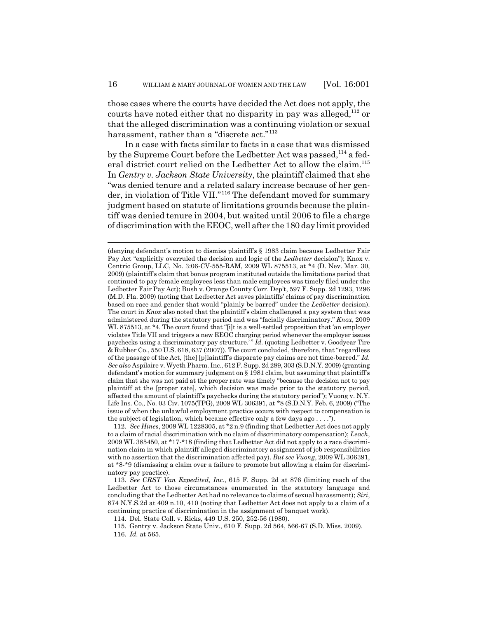those cases where the courts have decided the Act does not apply, the courts have noted either that no disparity in pay was alleged,<sup>112</sup> or that the alleged discrimination was a continuing violation or sexual harassment, rather than a "discrete act."<sup>113</sup>

In a case with facts similar to facts in a case that was dismissed by the Supreme Court before the Ledbetter Act was passed,<sup>114</sup> a federal district court relied on the Ledbetter Act to allow the claim.<sup>115</sup> In *Gentry v. Jackson State University*, the plaintiff claimed that she "was denied tenure and a related salary increase because of her gender, in violation of Title VII."<sup>116</sup> The defendant moved for summary judgment based on statute of limitations grounds because the plaintiff was denied tenure in 2004, but waited until 2006 to file a charge of discrimination with the EEOC, well after the 180 day limit provided

<sup>(</sup>denying defendant's motion to dismiss plaintiff's § 1983 claim because Ledbetter Fair Pay Act "explicitly overruled the decision and logic of the *Ledbetter* decision"); Knox v. Centric Group, LLC, No. 3:06-CV-555-RAM, 2009 WL 875513, at \*4 (D. Nev. Mar. 30, 2009) (plaintiff's claim that bonus program instituted outside the limitations period that continued to pay female employees less than male employees was timely filed under the Ledbetter Fair Pay Act); Bush v. Orange County Corr. Dep't, 597 F. Supp. 2d 1293, 1296 (M.D. Fla. 2009) (noting that Ledbetter Act saves plaintiffs' claims of pay discrimination based on race and gender that would "plainly be barred" under the *Ledbetter* decision). The court in *Knox* also noted that the plaintiff's claim challenged a pay system that was administered during the statutory period and was "facially discriminatory." *Knox*, 2009 WL 875513, at \*4. The court found that "[i]t is a well-settled proposition that 'an employer violates Title VII and triggers a new EEOC charging period whenever the employer issues paychecks using a discriminatory pay structure.'" *Id.* (quoting Ledbetter v. Goodyear Tire & Rubber Co., 550 U.S. 618, 637 (2007)). The court concluded, therefore, that "regardless of the passage of the Act, [the] [p]laintiff's disparate pay claims are not time-barred." *Id. See also* Aspilaire v. Wyeth Pharm. Inc., 612 F. Supp. 2d 289, 303 (S.D.N.Y. 2009) (granting defendant's motion for summary judgment on § 1981 claim, but assuming that plaintiff's claim that she was not paid at the proper rate was timely "because the decision not to pay plaintiff at the [proper rate], which decision was made prior to the statutory period, affected the amount of plaintiff's paychecks during the statutory period"); Vuong v. N.Y. Life Ins. Co., No. 03 Civ. 1075(TPG), 2009 WL 306391, at \*8 (S.D.N.Y. Feb. 6, 2009) ("The issue of when the unlawful employment practice occurs with respect to compensation is the subject of legislation, which became effective only a few days ago . . . .").

<sup>112.</sup> *See Hines*, 2009 WL 1228305, at \*2 n.9 (finding that Ledbetter Act does not apply to a claim of racial discrimination with no claim of discriminatory compensation); *Leach*, 2009 WL 385450, at \*17-\*18 (finding that Ledbetter Act did not apply to a race discrimination claim in which plaintiff alleged discriminatory assignment of job responsibilities with no assertion that the discrimination affected pay). *But see Vuong*, 2009 WL 306391, at \*8-\*9 (dismissing a claim over a failure to promote but allowing a claim for discriminatory pay practice).

<sup>113.</sup> *See CRST Van Expedited, Inc.*, 615 F. Supp. 2d at 876 (limiting reach of the Ledbetter Act to those circumstances enumerated in the statutory language and concluding that the Ledbetter Act had no relevance to claims of sexual harassment); *Siri*, 874 N.Y.S.2d at 409 n.10, 410 (noting that Ledbetter Act does not apply to a claim of a continuing practice of discrimination in the assignment of banquet work).

<sup>114.</sup> Del. State Coll. v. Ricks, 449 U.S. 250, 252-56 (1980).

<sup>115.</sup> Gentry v. Jackson State Univ., 610 F. Supp. 2d 564, 566-67 (S.D. Miss. 2009).

<sup>116.</sup> *Id.* at 565.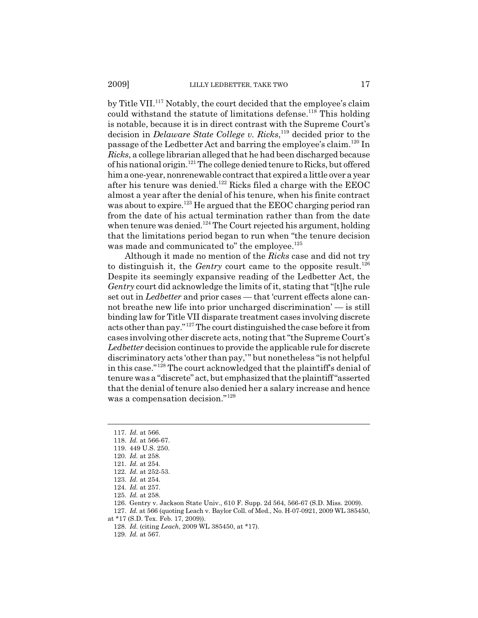by Title VII.<sup>117</sup> Notably, the court decided that the employee's claim could withstand the statute of limitations defense.<sup>118</sup> This holding is notable, because it is in direct contrast with the Supreme Court's decision in *Delaware State College v. Ricks*, 119 decided prior to the passage of the Ledbetter Act and barring the employee's claim.120 In *Ricks*, a college librarian alleged that he had been discharged because of his national origin.121 The college denied tenure to Ricks, but offered him a one-year, nonrenewable contract that expired a little over a year after his tenure was denied.<sup>122</sup> Ricks filed a charge with the EEOC almost a year after the denial of his tenure, when his finite contract was about to expire.<sup>123</sup> He argued that the EEOC charging period ran from the date of his actual termination rather than from the date when tenure was denied.<sup>124</sup> The Court rejected his argument, holding that the limitations period began to run when "the tenure decision was made and communicated to" the employee.<sup>125</sup>

Although it made no mention of the *Ricks* case and did not try to distinguish it, the *Gentry* court came to the opposite result.<sup>126</sup> Despite its seemingly expansive reading of the Ledbetter Act, the *Gentry* court did acknowledge the limits of it, stating that "[t]he rule set out in *Ledbetter* and prior cases — that 'current effects alone cannot breathe new life into prior uncharged discrimination' — is still binding law for Title VII disparate treatment cases involving discrete acts other than pay."127 The court distinguished the case before it from cases involving other discrete acts, noting that "the Supreme Court's *Ledbetter* decision continues to provide the applicable rule for discrete discriminatory acts 'other than pay,'" but nonetheless "is not helpful in this case."128 The court acknowledged that the plaintiff's denial of tenure was a "discrete" act, but emphasized that the plaintiff "asserted that the denial of tenure also denied her a salary increase and hence was a compensation decision."<sup>129</sup>

<sup>117.</sup> *Id.* at 566.

<sup>118.</sup> *Id.* at 566-67.

<sup>119. 449</sup> U.S. 250.

<sup>120.</sup> *Id.* at 258.

<sup>121.</sup> *Id.* at 254.

<sup>122.</sup> *Id.* at 252-53.

<sup>123.</sup> *Id.* at 254.

<sup>124.</sup> *Id.* at 257.

<sup>125.</sup> *Id.* at 258.

<sup>126.</sup> Gentry v. Jackson State Univ., 610 F. Supp. 2d 564, 566-67 (S.D. Miss. 2009).

<sup>127.</sup> *Id.* at 566 (quoting Leach v. Baylor Coll. of Med., No. H-07-0921, 2009 WL 385450,

at \*17 (S.D. Tex. Feb. 17, 2009)).

<sup>128.</sup> *Id.* (citing *Leach*, 2009 WL 385450, at \*17).

<sup>129.</sup> *Id.* at 567.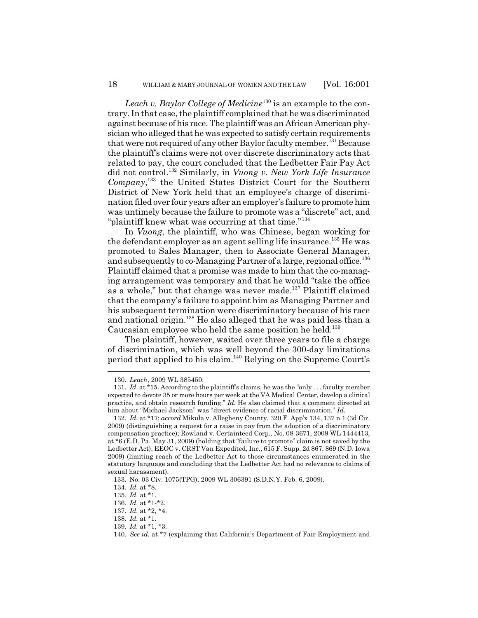*Leach v. Baylor College of Medicine*<sup>130</sup> is an example to the contrary. In that case, the plaintiff complained that he was discriminated against because of his race. The plaintiff was an African American physician who alleged that he was expected to satisfy certain requirements that were not required of any other Baylor faculty member.<sup>131</sup> Because the plaintiff's claims were not over discrete discriminatory acts that related to pay, the court concluded that the Ledbetter Fair Pay Act did not control.132 Similarly, in *Vuong v. New York Life Insurance Company*, 133 the United States District Court for the Southern District of New York held that an employee's charge of discrimination filed over four years after an employer's failure to promote him was untimely because the failure to promote was a "discrete" act, and "plaintiff knew what was occurring at that time."<sup>134</sup>

In *Vuong*, the plaintiff, who was Chinese, began working for the defendant employer as an agent selling life insurance.<sup>135</sup> He was promoted to Sales Manager, then to Associate General Manager, and subsequently to co-Managing Partner of a large, regional office.<sup>136</sup> Plaintiff claimed that a promise was made to him that the co-managing arrangement was temporary and that he would "take the office as a whole," but that change was never made.<sup>137</sup> Plaintiff claimed that the company's failure to appoint him as Managing Partner and his subsequent termination were discriminatory because of his race and national origin.<sup>138</sup> He also alleged that he was paid less than a Caucasian employee who held the same position he held.139

The plaintiff, however, waited over three years to file a charge of discrimination, which was well beyond the 300-day limitations period that applied to his claim.140 Relying on the Supreme Court's

139. *Id.* at \*1, \*3.

<sup>130.</sup> *Leach*, 2009 WL 385450.

<sup>131.</sup> *Id.* at \*15. According to the plaintiff's claims, he was the "only . . . faculty member expected to devote 35 or more hours per week at the VA Medical Center, develop a clinical practice, and obtain research funding." *Id.* He also claimed that a comment directed at him about "Michael Jackson" was "direct evidence of racial discrimination." *Id.*

<sup>132.</sup> *Id.* at \*17; *accord* Mikula v. Allegheny County, 320 F. App'x 134, 137 n.1 (3d Cir. 2009) (distinguishing a request for a raise in pay from the adoption of a discriminatory compensation practice); Rowland v. Certainteed Corp., No. 08-3671, 2009 WL 1444413, at \*6 (E.D. Pa. May 31, 2009) (holding that "failure to promote" claim is not saved by the Ledbetter Act); EEOC v. CRST Van Expedited, Inc., 615 F. Supp. 2d 867, 869 (N.D. Iowa 2009) (limiting reach of the Ledbetter Act to those circumstances enumerated in the statutory language and concluding that the Ledbetter Act had no relevance to claims of sexual harassment).

<sup>133.</sup> No. 03 Civ. 1075(TPG), 2009 WL 306391 (S.D.N.Y. Feb. 6, 2009).

<sup>134.</sup> *Id.* at \*8.

<sup>135.</sup> *Id.* at \*1.

<sup>136.</sup> *Id.* at \*1-\*2.

<sup>137.</sup> *Id.* at \*2, \*4.

<sup>138.</sup> *Id.* at \*1.

<sup>140.</sup> *See id.* at \*7 (explaining that California's Department of Fair Employment and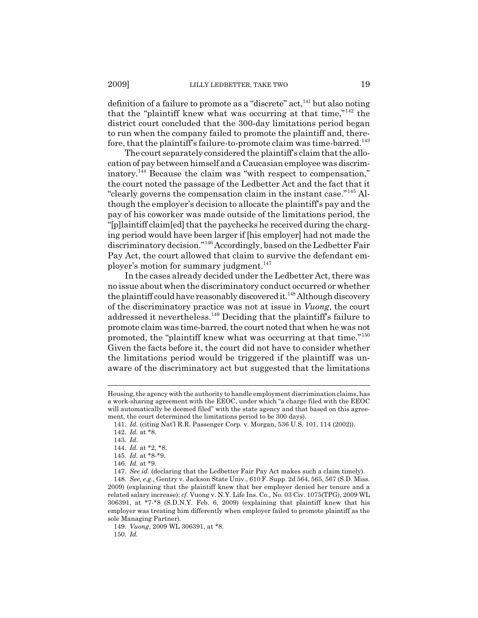definition of a failure to promote as a "discrete"  $act<sub>1</sub><sup>41</sup>$  but also noting that the "plaintiff knew what was occurring at that time,"142 the district court concluded that the 300-day limitations period began to run when the company failed to promote the plaintiff and, therefore, that the plaintiff's failure-to-promote claim was time-barred.143

The court separately considered the plaintiff's claim that the allocation of pay between himself and a Caucasian employee was discriminatory.144 Because the claim was "with respect to compensation," the court noted the passage of the Ledbetter Act and the fact that it "clearly governs the compensation claim in the instant case."145 Although the employer's decision to allocate the plaintiff's pay and the pay of his coworker was made outside of the limitations period, the "[p]laintiff claim[ed] that the paychecks he received during the charging period would have been larger if [his employer] had not made the discriminatory decision."146 Accordingly, based on the Ledbetter Fair Pay Act, the court allowed that claim to survive the defendant employer's motion for summary judgment.<sup>147</sup>

In the cases already decided under the Ledbetter Act, there was no issue about when the discriminatory conduct occurred or whether the plaintiff could have reasonably discovered it.<sup>148</sup> Although discovery of the discriminatory practice was not at issue in *Vuong*, the court addressed it nevertheless.149 Deciding that the plaintiff's failure to promote claim was time-barred, the court noted that when he was not promoted, the "plaintiff knew what was occurring at that time."<sup>150</sup> Given the facts before it, the court did not have to consider whether the limitations period would be triggered if the plaintiff was unaware of the discriminatory act but suggested that the limitations

149. *Vuong*, 2009 WL 306391, at \*8. 150. *Id.*

Housing, the agency with the authority to handle employment discrimination claims, has a work-sharing agreement with the EEOC, under which "a charge filed with the EEOC will automatically be deemed filed" with the state agency and that based on this agreement, the court determined the limitations period to be 300 days).

<sup>141.</sup> *Id.* (citing Nat'l R.R. Passenger Corp. v. Morgan, 536 U.S. 101, 114 (2002)).

<sup>142.</sup> *Id.* at \*8.

<sup>143.</sup> *Id.*

<sup>144.</sup> *Id.* at \*2, \*8.

<sup>145.</sup> *Id.* at \*8-\*9.

<sup>146.</sup> *Id.* at \*9.

<sup>147.</sup> *See id.* (declaring that the Ledbetter Fair Pay Act makes such a claim timely).

<sup>148.</sup> *See, e.g.*, Gentry v. Jackson State Univ., 610 F. Supp. 2d 564, 565, 567 (S.D. Miss. 2009) (explaining that the plaintiff knew that her employer denied her tenure and a related salary increase); *cf.* Vuong v. N.Y. Life Ins. Co., No. 03 Civ. 1075(TPG), 2009 WL 306391, at \*7-\*8 (S.D.N.Y. Feb. 6, 2009) (explaining that plaintiff knew that his employer was treating him differently when employer failed to promote plaintiff as the sole Managing Partner).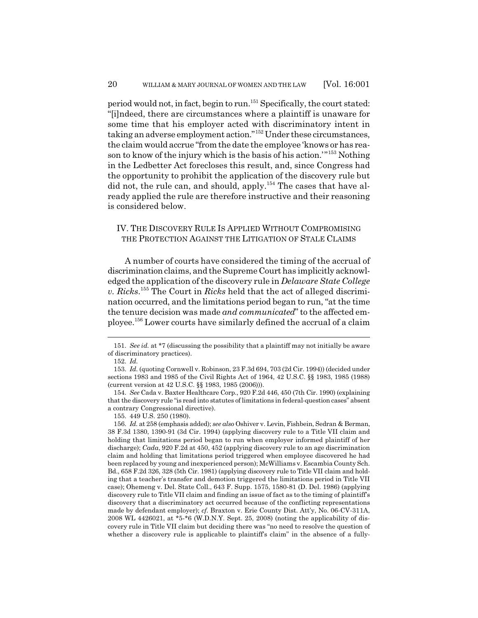period would not, in fact, begin to run.151 Specifically, the court stated: "[i]ndeed, there are circumstances where a plaintiff is unaware for some time that his employer acted with discriminatory intent in taking an adverse employment action."152 Under these circumstances, the claim would accrue "from the date the employee 'knows or has reason to know of the injury which is the basis of his action.'"153 Nothing in the Ledbetter Act forecloses this result, and, since Congress had the opportunity to prohibit the application of the discovery rule but did not, the rule can, and should, apply.<sup>154</sup> The cases that have already applied the rule are therefore instructive and their reasoning is considered below.

## IV. THE DISCOVERY RULE IS APPLIED WITHOUT COMPROMISING THE PROTECTION AGAINST THE LITIGATION OF STALE CLAIMS

A number of courts have considered the timing of the accrual of discrimination claims, and the Supreme Court has implicitly acknowledged the application of the discovery rule in *Delaware State College v. Ricks*. 155 The Court in *Ricks* held that the act of alleged discrimination occurred, and the limitations period began to run, "at the time the tenure decision was made *and communicated*" to the affected employee.156 Lower courts have similarly defined the accrual of a claim

154. *See* Cada v. Baxter Healthcare Corp., 920 F.2d 446, 450 (7th Cir. 1990) (explaining that the discovery rule "is read into statutes of limitations in federal-question cases" absent a contrary Congressional directive).

156. *Id.* at 258 (emphasis added); *see also* Oshiver v. Levin, Fishbein, Sedran & Berman, 38 F.3d 1380, 1390-91 (3d Cir. 1994) (applying discovery rule to a Title VII claim and holding that limitations period began to run when employer informed plaintiff of her discharge); *Cada*, 920 F.2d at 450, 452 (applying discovery rule to an age discrimination claim and holding that limitations period triggered when employee discovered he had been replaced by young and inexperienced person); McWilliams v. Escambia County Sch. Bd., 658 F.2d 326, 328 (5th Cir. 1981) (applying discovery rule to Title VII claim and holding that a teacher's transfer and demotion triggered the limitations period in Title VII case); Ohemeng v. Del. State Coll., 643 F. Supp. 1575, 1580-81 (D. Del. 1986) (applying discovery rule to Title VII claim and finding an issue of fact as to the timing of plaintiff's discovery that a discriminatory act occurred because of the conflicting representations made by defendant employer); *cf.* Braxton v. Erie County Dist. Att'y, No. 06-CV-311A, 2008 WL 4426021, at \*5-\*6 (W.D.N.Y. Sept. 25, 2008) (noting the applicability of discovery rule in Title VII claim but deciding there was "no need to resolve the question of whether a discovery rule is applicable to plaintiff's claim" in the absence of a fully-

<sup>151.</sup> *See id.* at \*7 (discussing the possibility that a plaintiff may not initially be aware of discriminatory practices).

<sup>152.</sup> *Id.*

<sup>153.</sup> *Id.* (quoting Cornwell v. Robinson, 23 F.3d 694, 703 (2d Cir. 1994)) (decided under sections 1983 and 1985 of the Civil Rights Act of 1964, 42 U.S.C. §§ 1983, 1985 (1988) (current version at 42 U.S.C. §§ 1983, 1985 (2006))).

<sup>155. 449</sup> U.S. 250 (1980).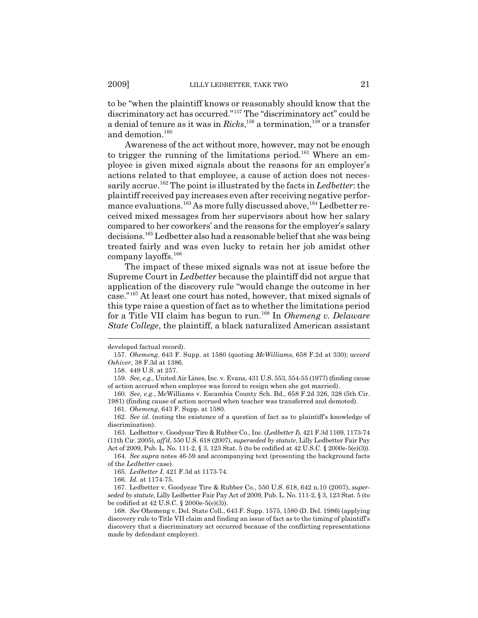to be "when the plaintiff knows or reasonably should know that the discriminatory act has occurred."157 The "discriminatory act" could be a denial of tenure as it was in *Ricks*, 158 a termination,159 or a transfer and demotion.<sup>160</sup>

Awareness of the act without more, however, may not be enough to trigger the running of the limitations period.<sup>161</sup> Where an employee is given mixed signals about the reasons for an employer's actions related to that employee, a cause of action does not necessarily accrue.162 The point is illustrated by the facts in *Ledbetter*: the plaintiff received pay increases even after receiving negative performance evaluations.<sup>163</sup> As more fully discussed above,<sup>164</sup> Ledbetter received mixed messages from her supervisors about how her salary compared to her coworkers' and the reasons for the employer's salary decisions.165 Ledbetter also had a reasonable belief that she was being treated fairly and was even lucky to retain her job amidst other company layoffs.166

The impact of these mixed signals was not at issue before the Supreme Court in *Ledbetter* because the plaintiff did not argue that application of the discovery rule "would change the outcome in her case."167 At least one court has noted, however, that mixed signals of this type raise a question of fact as to whether the limitations period for a Title VII claim has begun to run.168 In *Ohemeng v. Delaware State College*, the plaintiff, a black naturalized American assistant

developed factual record).

<sup>157.</sup> *Ohemeng*, 643 F. Supp. at 1580 (quoting *McWilliams*, 658 F.2d at 330); *accord Oshiver*, 38 F.3d at 1386.

<sup>158. 449</sup> U.S. at 257.

<sup>159.</sup> *See, e.g.*, United Air Lines, Inc. v. Evans, 431 U.S. 553, 554-55 (1977) (finding cause of action accrued when employee was forced to resign when she got married).

<sup>160.</sup> *See, e.g.*, McWilliams v. Escambia County Sch. Bd., 658 F.2d 326, 328 (5th Cir. 1981) (finding cause of action accrued when teacher was transferred and demoted).

<sup>161.</sup> *Ohemeng*, 643 F. Supp. at 1580.

<sup>162.</sup> *See id.* (noting the existence of a question of fact as to plaintiff's knowledge of discrimination).

<sup>163.</sup> Ledbetter v. Goodyear Tire & Rubber Co., Inc. (*Ledbetter I*), 421 F.3d 1169, 1173-74 (11th Cir. 2005), *aff'd*, 550 U.S. 618 (2007), *superseded by statute*, Lilly Ledbetter Fair Pay

Act of 2009, Pub. L. No. 111-2, § 3, 123 Stat. 5 (to be codified at 42 U.S.C. § 2000e-5(e)(3)). 164. *See supra* notes 46-59 and accompanying text (presenting the background facts of the *Ledbetter* case).

<sup>165.</sup> *Ledbetter I*, 421 F.3d at 1173-74.

<sup>166.</sup> *Id.* at 1174-75.

<sup>167.</sup> Ledbetter v. Goodyear Tire & Rubber Co., 550 U.S. 618, 642 n.10 (2007), *superseded by statute*, Lilly Ledbetter Fair Pay Act of 2009, Pub. L. No. 111-2, § 3, 123 Stat. 5 (to be codified at 42 U.S.C. § 2000e-5(e)(3)).

<sup>168.</sup> *See* Ohemeng v. Del. State Coll., 643 F. Supp. 1575, 1580 (D. Del. 1986) (applying discovery rule to Title VII claim and finding an issue of fact as to the timing of plaintiff's discovery that a discriminatory act occurred because of the conflicting representations made by defendant employer).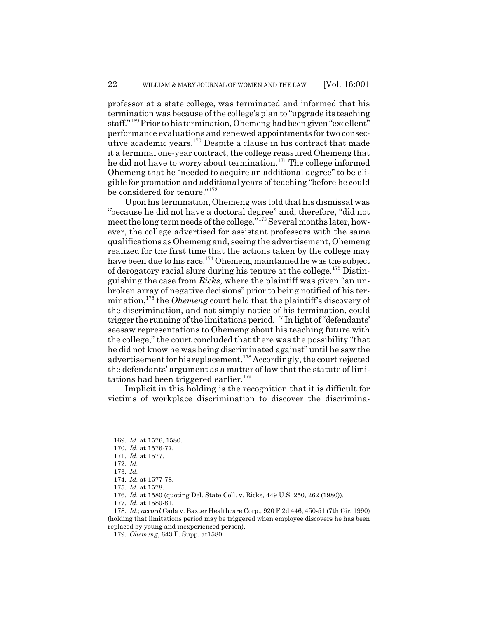professor at a state college, was terminated and informed that his termination was because of the college's plan to "upgrade its teaching staff."169 Prior to his termination, Ohemeng had been given "excellent" performance evaluations and renewed appointments for two consecutive academic years.170 Despite a clause in his contract that made it a terminal one-year contract, the college reassured Ohemeng that he did not have to worry about termination.<sup>171</sup> The college informed Ohemeng that he "needed to acquire an additional degree" to be eligible for promotion and additional years of teaching "before he could be considered for tenure."<sup>172</sup>

Upon his termination, Ohemeng was told that his dismissal was "because he did not have a doctoral degree" and, therefore, "did not meet the long term needs of the college."<sup>173</sup> Several months later, however, the college advertised for assistant professors with the same qualifications as Ohemeng and, seeing the advertisement, Ohemeng realized for the first time that the actions taken by the college may have been due to his race.<sup>174</sup> Ohemeng maintained he was the subject of derogatory racial slurs during his tenure at the college.<sup>175</sup> Distinguishing the case from *Ricks*, where the plaintiff was given "an unbroken array of negative decisions" prior to being notified of his termination,176 the *Ohemeng* court held that the plaintiff's discovery of the discrimination, and not simply notice of his termination, could trigger the running of the limitations period.<sup>177</sup> In light of "defendants" seesaw representations to Ohemeng about his teaching future with the college," the court concluded that there was the possibility "that he did not know he was being discriminated against" until he saw the advertisement for his replacement.178 Accordingly, the court rejected the defendants' argument as a matter of law that the statute of limitations had been triggered earlier.<sup>179</sup>

Implicit in this holding is the recognition that it is difficult for victims of workplace discrimination to discover the discrimina-

<sup>169.</sup> *Id.* at 1576, 1580.

<sup>170.</sup> *Id.* at 1576-77.

<sup>171.</sup> *Id.* at 1577.

<sup>172.</sup> *Id.*

<sup>173.</sup> *Id.*

<sup>174.</sup> *Id.* at 1577-78.

<sup>175.</sup> *Id.* at 1578.

<sup>176.</sup> *Id.* at 1580 (quoting Del. State Coll. v. Ricks, 449 U.S. 250, 262 (1980)).

<sup>177.</sup> *Id.* at 1580-81.

<sup>178.</sup> *Id.*; *accord* Cada v. Baxter Healthcare Corp., 920 F.2d 446, 450-51 (7th Cir. 1990) (holding that limitations period may be triggered when employee discovers he has been replaced by young and inexperienced person).

<sup>179.</sup> *Ohemeng*, 643 F. Supp. at1580.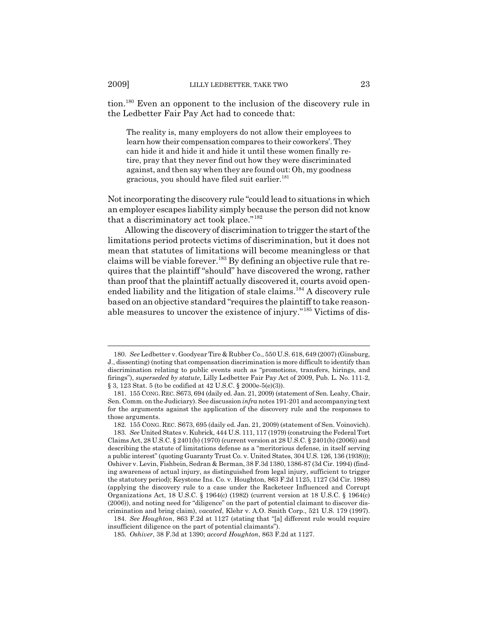tion.180 Even an opponent to the inclusion of the discovery rule in the Ledbetter Fair Pay Act had to concede that:

The reality is, many employers do not allow their employees to learn how their compensation compares to their coworkers'. They can hide it and hide it and hide it until these women finally retire, pray that they never find out how they were discriminated against, and then say when they are found out: Oh, my goodness gracious, you should have filed suit earlier.<sup>181</sup>

Not incorporating the discovery rule "could lead to situations in which an employer escapes liability simply because the person did not know that a discriminatory act took place."<sup>182</sup>

Allowing the discovery of discrimination to trigger the start of the limitations period protects victims of discrimination, but it does not mean that statutes of limitations will become meaningless or that claims will be viable forever.<sup>183</sup> By defining an objective rule that requires that the plaintiff "should" have discovered the wrong, rather than proof that the plaintiff actually discovered it, courts avoid openended liability and the litigation of stale claims.<sup>184</sup> A discovery rule based on an objective standard "requires the plaintiff to take reasonable measures to uncover the existence of injury."185 Victims of dis-

184. *See Houghton*, 863 F.2d at 1127 (stating that "[a] different rule would require insufficient diligence on the part of potential claimants").

<sup>180.</sup> *See* Ledbetter v. Goodyear Tire & Rubber Co., 550 U.S. 618, 649 (2007) (Ginsburg, J., dissenting) (noting that compensation discrimination is more difficult to identify than discrimination relating to public events such as "promotions, transfers, hirings, and firings"), *superseded by statute*, Lilly Ledbetter Fair Pay Act of 2009, Pub. L. No. 111-2, § 3, 123 Stat. 5 (to be codified at 42 U.S.C. § 2000e-5(e)(3)).

<sup>181.</sup> 155 CONG.REC. S673, 694 (daily ed. Jan. 21, 2009) (statement of Sen. Leahy, Chair, Sen. Comm. on the Judiciary). See discussion *infra* notes 191-201 and accompanying text for the arguments against the application of the discovery rule and the responses to those arguments.

<sup>182. 155</sup> CONG. REC. S673, 695 (daily ed. Jan. 21, 2009) (statement of Sen. Voinovich). 183. *See* United States v. Kubrick, 444 U.S. 111, 117 (1979) (construing the Federal Tort

Claims Act, 28 U.S.C. § 2401(b) (1970) (current version at 28 U.S.C. § 2401(b) (2006)) and describing the statute of limitations defense as a "meritorious defense, in itself serving a public interest" (quoting Guaranty Trust Co. v. United States, 304 U.S. 126, 136 (1938))); Oshiver v. Levin, Fishbein, Sedran & Berman, 38 F.3d 1380, 1386-87 (3d Cir. 1994) (finding awareness of actual injury, as distinguished from legal injury, sufficient to trigger the statutory period); Keystone Ins. Co. v. Houghton, 863 F.2d 1125, 1127 (3d Cir. 1988) (applying the discovery rule to a case under the Racketeer Influenced and Corrupt Organizations Act, 18 U.S.C. § 1964(c) (1982) (current version at 18 U.S.C. § 1964(c) (2006)), and noting need for "diligence" on the part of potential claimant to discover discrimination and bring claim), *vacated*, Klehr v. A.O. Smith Corp., 521 U.S. 179 (1997).

<sup>185.</sup> *Oshiver*, 38 F.3d at 1390; *accord Houghton*, 863 F.2d at 1127.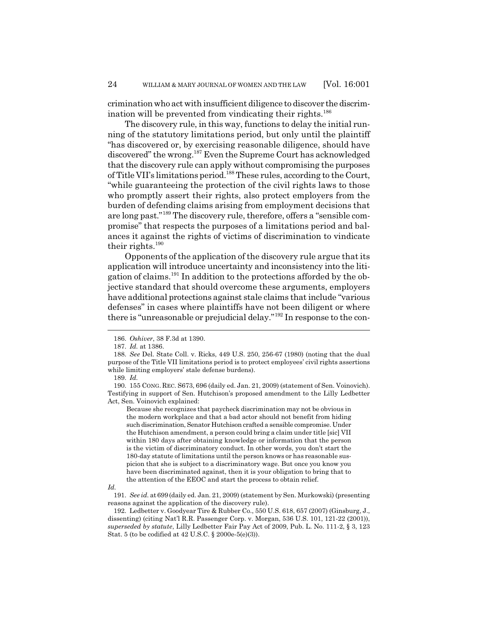crimination who act with insufficient diligence to discover the discrimination will be prevented from vindicating their rights.<sup>186</sup>

The discovery rule, in this way, functions to delay the initial running of the statutory limitations period, but only until the plaintiff "has discovered or, by exercising reasonable diligence, should have discovered" the wrong.187 Even the Supreme Court has acknowledged that the discovery rule can apply without compromising the purposes of Title VII's limitations period.188 These rules, according to the Court, "while guaranteeing the protection of the civil rights laws to those who promptly assert their rights, also protect employers from the burden of defending claims arising from employment decisions that are long past."189 The discovery rule, therefore, offers a "sensible compromise" that respects the purposes of a limitations period and balances it against the rights of victims of discrimination to vindicate their rights.190

Opponents of the application of the discovery rule argue that its application will introduce uncertainty and inconsistency into the litigation of claims.191 In addition to the protections afforded by the objective standard that should overcome these arguments, employers have additional protections against stale claims that include "various defenses" in cases where plaintiffs have not been diligent or where there is "unreasonable or prejudicial delay."<sup>192</sup> In response to the con-

Because she recognizes that paycheck discrimination may not be obvious in the modern workplace and that a bad actor should not benefit from hiding such discrimination, Senator Hutchison crafted a sensible compromise. Under the Hutchison amendment, a person could bring a claim under title [sic] VII within 180 days after obtaining knowledge or information that the person is the victim of discriminatory conduct. In other words, you don't start the 180-day statute of limitations until the person knows or has reasonable suspicion that she is subject to a discriminatory wage. But once you know you have been discriminated against, then it is your obligation to bring that to the attention of the EEOC and start the process to obtain relief.

<sup>186.</sup> *Oshiver*, 38 F.3d at 1390.

<sup>187.</sup> *Id.* at 1386.

<sup>188.</sup> *See* Del. State Coll. v. Ricks, 449 U.S. 250, 256-67 (1980) (noting that the dual purpose of the Title VII limitations period is to protect employees' civil rights assertions while limiting employers' stale defense burdens).

<sup>189.</sup> *Id.*

<sup>190. 155</sup> CONG. REC. S673, 696 (daily ed. Jan. 21, 2009) (statement of Sen. Voinovich). Testifying in support of Sen. Hutchison's proposed amendment to the Lilly Ledbetter Act, Sen. Voinovich explained:

*Id.*

<sup>191.</sup> *See id.* at 699 (daily ed. Jan. 21, 2009) (statement by Sen. Murkowski) (presenting reasons against the application of the discovery rule).

<sup>192.</sup> Ledbetter v. Goodyear Tire & Rubber Co., 550 U.S. 618, 657 (2007) (Ginsburg, J., dissenting) (citing Nat'l R.R. Passenger Corp. v. Morgan, 536 U.S. 101, 121-22 (2001)), *superseded by statute*, Lilly Ledbetter Fair Pay Act of 2009, Pub. L. No. 111-2, § 3, 123 Stat. 5 (to be codified at 42 U.S.C. § 2000e-5(e)(3)).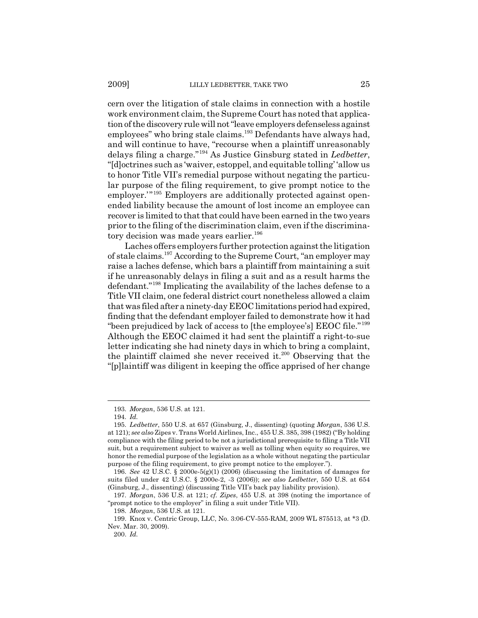cern over the litigation of stale claims in connection with a hostile work environment claim, the Supreme Court has noted that application of the discovery rule will not "leave employers defenseless against employees" who bring stale claims.<sup>193</sup> Defendants have always had, and will continue to have, "recourse when a plaintiff unreasonably delays filing a charge."194 As Justice Ginsburg stated in *Ledbetter*, "[d]octrines such as 'waiver, estoppel, and equitable tolling' 'allow us to honor Title VII's remedial purpose without negating the particular purpose of the filing requirement, to give prompt notice to the employer."<sup>195</sup> Employers are additionally protected against openended liability because the amount of lost income an employee can recover is limited to that that could have been earned in the two years prior to the filing of the discrimination claim, even if the discriminatory decision was made years earlier.<sup>196</sup>

Laches offers employers further protection against the litigation of stale claims.197 According to the Supreme Court, "an employer may raise a laches defense, which bars a plaintiff from maintaining a suit if he unreasonably delays in filing a suit and as a result harms the defendant."198 Implicating the availability of the laches defense to a Title VII claim, one federal district court nonetheless allowed a claim that was filed after a ninety-day EEOC limitations period had expired, finding that the defendant employer failed to demonstrate how it had "been prejudiced by lack of access to [the employee's] EEOC file."<sup>199</sup> Although the EEOC claimed it had sent the plaintiff a right-to-sue letter indicating she had ninety days in which to bring a complaint, the plaintiff claimed she never received it.200 Observing that the "[p]laintiff was diligent in keeping the office apprised of her change

<sup>193.</sup> *Morgan*, 536 U.S. at 121.

<sup>194.</sup> *Id.*

<sup>195.</sup> *Ledbetter*, 550 U.S. at 657 (Ginsburg, J., dissenting) (quoting *Morgan*, 536 U.S. at 121); *see also* Zipes v. Trans World Airlines, Inc., 455 U.S. 385, 398 (1982) ("By holding compliance with the filing period to be not a jurisdictional prerequisite to filing a Title VII suit, but a requirement subject to waiver as well as tolling when equity so requires, we honor the remedial purpose of the legislation as a whole without negating the particular purpose of the filing requirement, to give prompt notice to the employer.").

<sup>196.</sup> *See* 42 U.S.C. § 2000e-5(g)(1) (2006) (discussing the limitation of damages for suits filed under 42 U.S.C. § 2000e-2, -3 (2006)); *see also Ledbetter*, 550 U.S. at 654 (Ginsburg, J., dissenting) (discussing Title VII's back pay liability provision).

<sup>197.</sup> *Morgan*, 536 U.S. at 121; *cf. Zipes*, 455 U.S. at 398 (noting the importance of "prompt notice to the employer" in filing a suit under Title VII).

<sup>198.</sup> *Morgan*, 536 U.S. at 121.

<sup>199.</sup> Knox v. Centric Group, LLC, No. 3:06-CV-555-RAM, 2009 WL 875513, at \*3 (D. Nev. Mar. 30, 2009).

<sup>200.</sup> *Id.*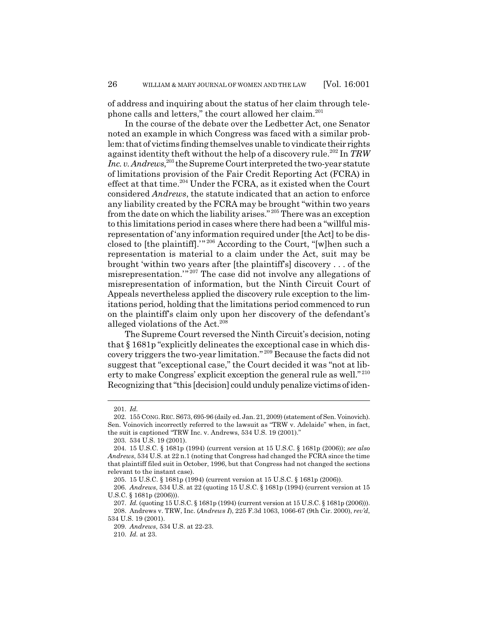of address and inquiring about the status of her claim through telephone calls and letters," the court allowed her claim.<sup>201</sup>

In the course of the debate over the Ledbetter Act, one Senator noted an example in which Congress was faced with a similar problem: that of victims finding themselves unable to vindicate their rights against identity theft without the help of a discovery rule.202 In *TRW* Inc. v. Andrews,<sup>203</sup> the Supreme Court interpreted the two-year statute of limitations provision of the Fair Credit Reporting Act (FCRA) in effect at that time.<sup>204</sup> Under the FCRA, as it existed when the Court considered *Andrews*, the statute indicated that an action to enforce any liability created by the FCRA may be brought "within two years from the date on which the liability arises." 205 There was an exception to this limitations period in cases where there had been a "willful misrepresentation of 'any information required under [the Act] to be disclosed to [the plaintiff].'" 206 According to the Court, "[w]hen such a representation is material to a claim under the Act, suit may be brought 'within two years after [the plaintiff's] discovery . . . of the misrepresentation.'" 207 The case did not involve any allegations of misrepresentation of information, but the Ninth Circuit Court of Appeals nevertheless applied the discovery rule exception to the limitations period, holding that the limitations period commenced to run on the plaintiff's claim only upon her discovery of the defendant's alleged violations of the Act.<sup>208</sup>

The Supreme Court reversed the Ninth Circuit's decision, noting that § 1681p "explicitly delineates the exceptional case in which discovery triggers the two-year limitation." 209 Because the facts did not suggest that "exceptional case," the Court decided it was "not at liberty to make Congress' explicit exception the general rule as well." <sup>210</sup> Recognizing that "this [decision] could unduly penalize victims of iden-

<sup>201.</sup> *Id.*

<sup>202.</sup> 155 CONG.REC. S673, 695-96 (daily ed. Jan. 21, 2009) (statement of Sen. Voinovich). Sen. Voinovich incorrectly referred to the lawsuit as "TRW v. Adelaide" when, in fact, the suit is captioned "TRW Inc. v. Andrews, 534 U.S. 19 (2001)."

<sup>203. 534</sup> U.S. 19 (2001).

<sup>204. 15</sup> U.S.C. § 1681p (1994) (current version at 15 U.S.C. § 1681p (2006)); *see also Andrews*, 534 U.S. at 22 n.1 (noting that Congress had changed the FCRA since the time that plaintiff filed suit in October, 1996, but that Congress had not changed the sections relevant to the instant case).

<sup>205. 15</sup> U.S.C. § 1681p (1994) (current version at 15 U.S.C. § 1681p (2006)).

<sup>206.</sup> *Andrews*, 534 U.S. at 22 (quoting 15 U.S.C. § 1681p (1994) (current version at 15 U.S.C. § 1681p (2006))).

<sup>207.</sup> *Id.* (quoting 15 U.S.C. § 1681p (1994) (current version at 15 U.S.C. § 1681p (2006))). 208. Andrews v. TRW, Inc. (*Andrews I*), 225 F.3d 1063, 1066-67 (9th Cir. 2000), *rev'd*, 534 U.S. 19 (2001).

<sup>209.</sup> *Andrews*, 534 U.S. at 22-23.

<sup>210.</sup> *Id.* at 23.